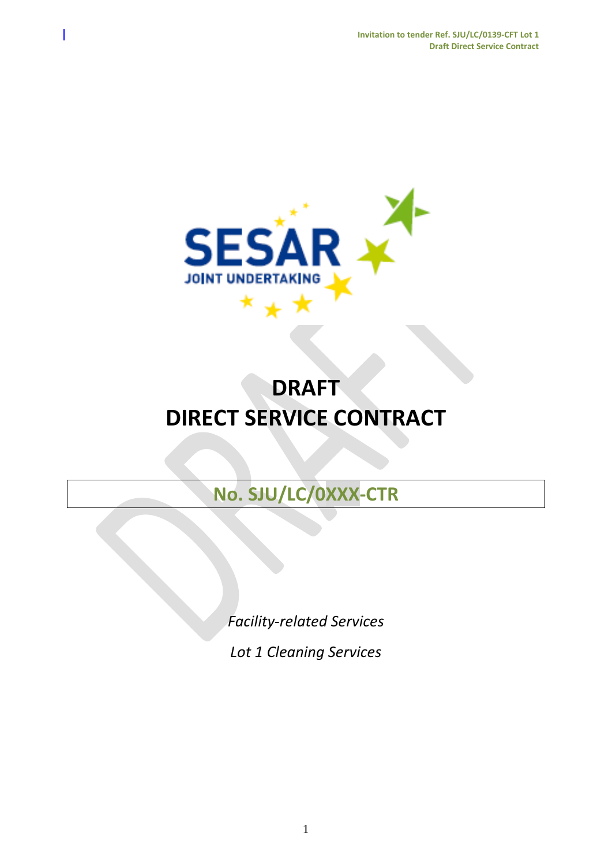

# **DRAFT DIRECT SERVICE CONTRACT**

# **No. SJU/LC/0XXX-CTR**

*Facility-related Services*

*Lot 1 Cleaning Services*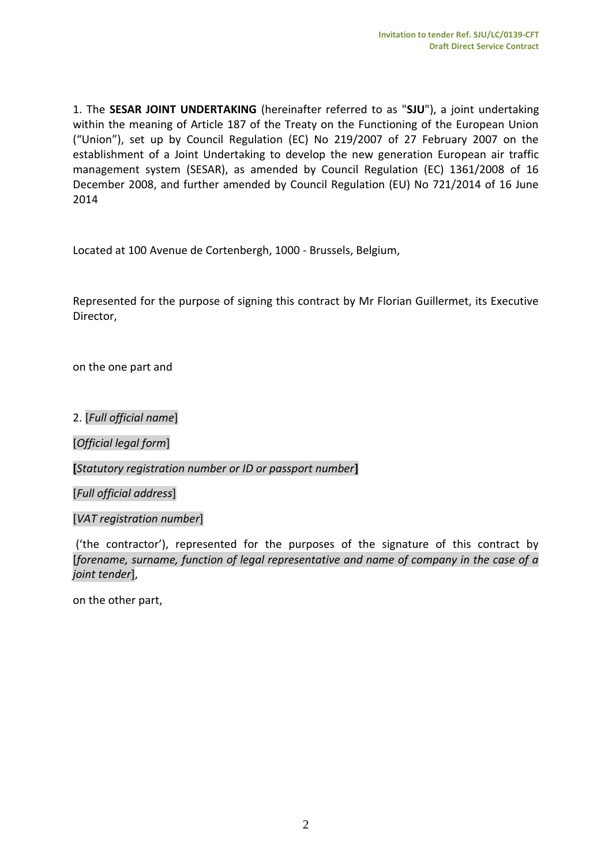1. The **SESAR JOINT UNDERTAKING** (hereinafter referred to as "**SJU**"), a joint undertaking within the meaning of Article 187 of the Treaty on the Functioning of the European Union ("Union"), set up by Council Regulation (EC) No 219/2007 of 27 February 2007 on the establishment of a Joint Undertaking to develop the new generation European air traffic management system (SESAR), as amended by Council Regulation (EC) 1361/2008 of 16 December 2008, and further amended by Council Regulation (EU) No 721/2014 of 16 June 2014

Located at 100 Avenue de Cortenbergh, 1000 - Brussels, Belgium,

Represented for the purpose of signing this contract by Mr Florian Guillermet, its Executive Director,

on the one part and

2. [*Full official name*]

[*Official legal form*]

**[***Statutory registration number or ID or passport number***]**

[*Full official address*]

[*VAT registration number*]

('the contractor'), represented for the purposes of the signature of this contract by [*forename, surname, function of legal representative and name of company in the case of a joint tender*],

on the other part,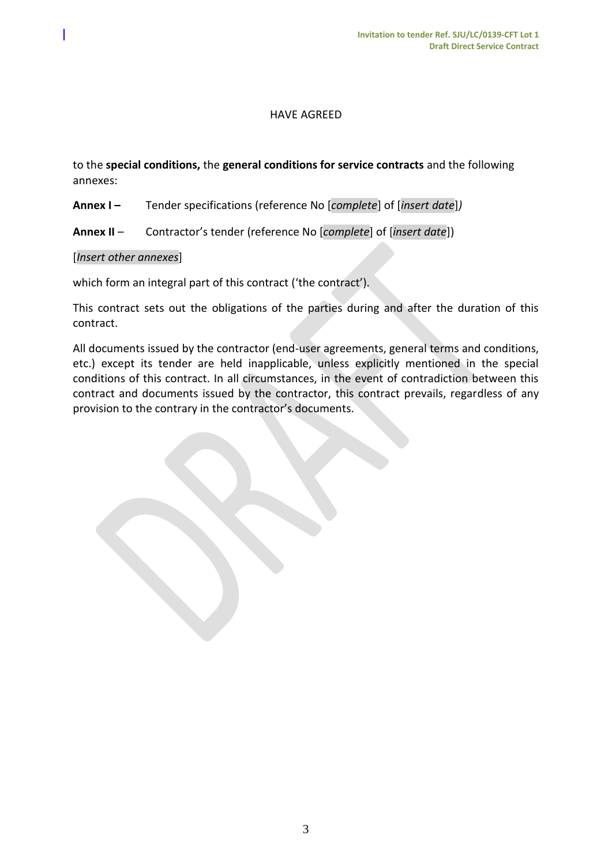#### HAVE AGREED

to the **special conditions,** the **general conditions for service contracts** and the following annexes:

- **Annex I –** Tender specifications (reference No [*complete*] of [*insert date*]*)*
- **Annex II** Contractor's tender (reference No [*complete*] of [*insert date*])

#### [*Insert other annexes*]

which form an integral part of this contract ('the contract').

This contract sets out the obligations of the parties during and after the duration of this contract.

All documents issued by the contractor (end-user agreements, general terms and conditions, etc.) except its tender are held inapplicable, unless explicitly mentioned in the special conditions of this contract. In all circumstances, in the event of contradiction between this contract and documents issued by the contractor, this contract prevails, regardless of any provision to the contrary in the contractor's documents.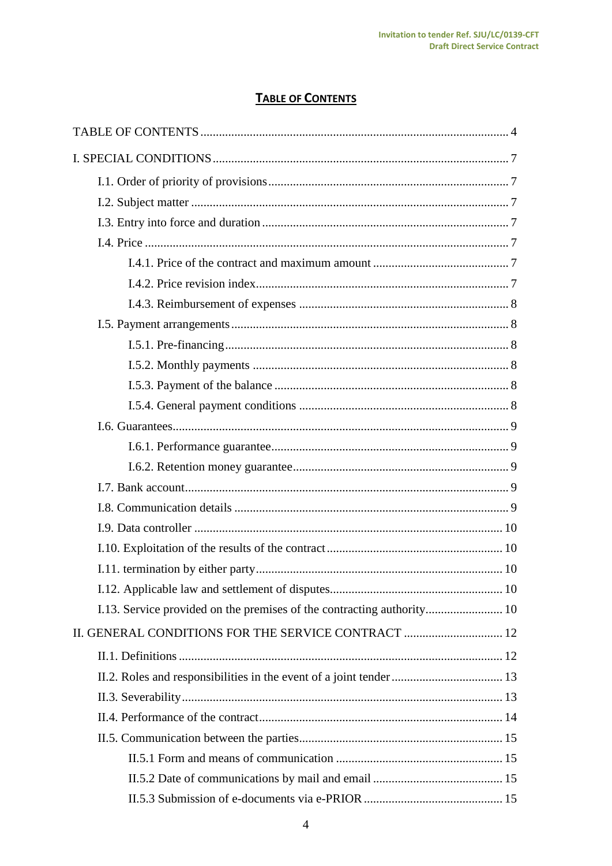# **TABLE OF CONTENTS**

<span id="page-3-0"></span>

| II. GENERAL CONDITIONS FOR THE SERVICE CONTRACT  12 |  |
|-----------------------------------------------------|--|
|                                                     |  |
|                                                     |  |
|                                                     |  |
|                                                     |  |
|                                                     |  |
|                                                     |  |
|                                                     |  |
|                                                     |  |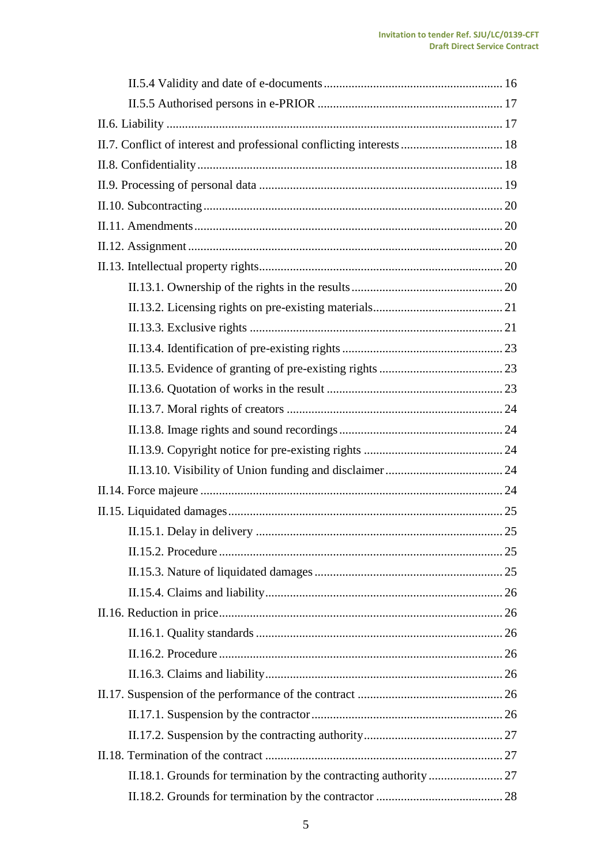| II.7. Conflict of interest and professional conflicting interests  18 |
|-----------------------------------------------------------------------|
|                                                                       |
|                                                                       |
|                                                                       |
|                                                                       |
|                                                                       |
|                                                                       |
|                                                                       |
|                                                                       |
|                                                                       |
|                                                                       |
|                                                                       |
|                                                                       |
|                                                                       |
|                                                                       |
|                                                                       |
|                                                                       |
|                                                                       |
|                                                                       |
|                                                                       |
|                                                                       |
|                                                                       |
|                                                                       |
|                                                                       |
|                                                                       |
|                                                                       |
|                                                                       |
|                                                                       |
|                                                                       |
|                                                                       |
|                                                                       |
|                                                                       |
|                                                                       |
|                                                                       |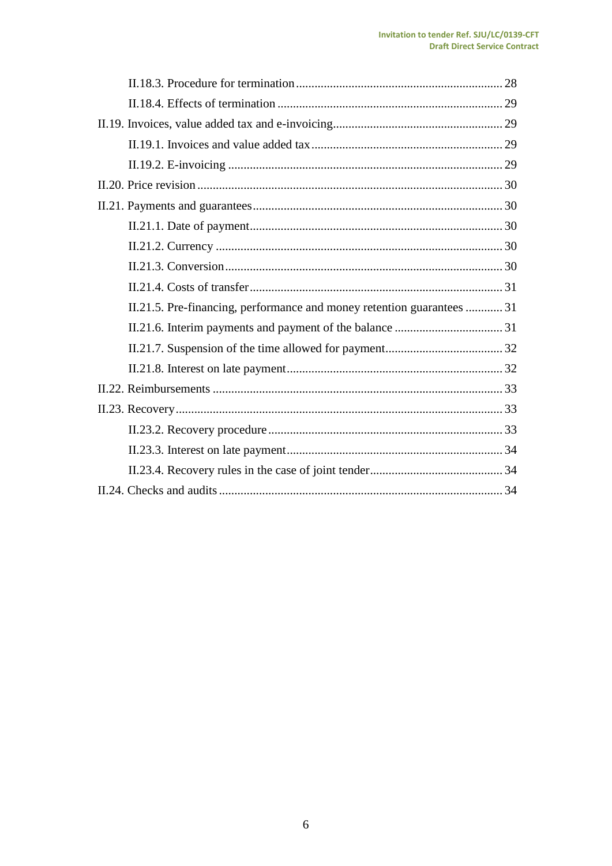| II.21.5. Pre-financing, performance and money retention guarantees  31 |
|------------------------------------------------------------------------|
|                                                                        |
|                                                                        |
|                                                                        |
|                                                                        |
|                                                                        |
|                                                                        |
|                                                                        |
|                                                                        |
|                                                                        |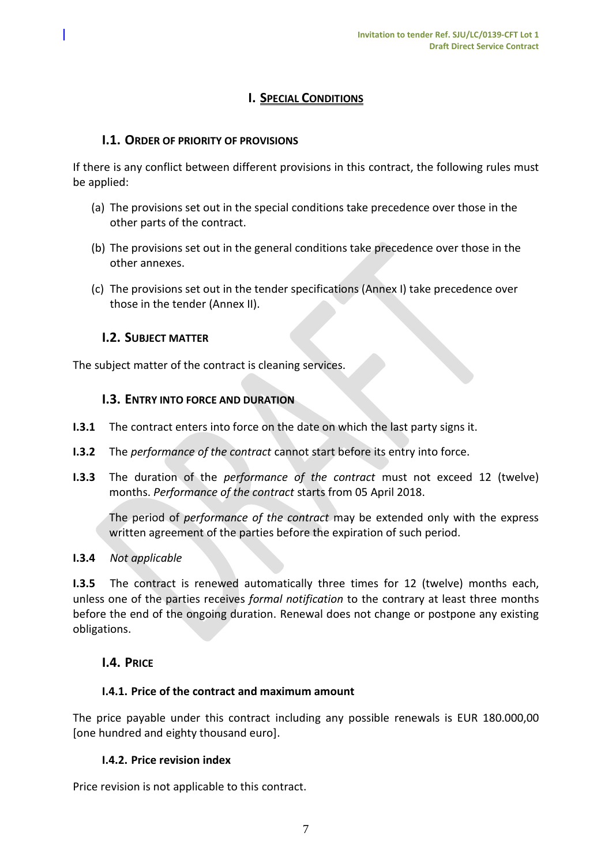# **I. SPECIAL CONDITIONS**

# <span id="page-6-1"></span><span id="page-6-0"></span>**I.1. ORDER OF PRIORITY OF PROVISIONS**

If there is any conflict between different provisions in this contract, the following rules must be applied:

- (a) The provisions set out in the special conditions take precedence over those in the other parts of the contract.
- (b) The provisions set out in the general conditions take precedence over those in the other annexes.
- (c) The provisions set out in the tender specifications (Annex I) take precedence over those in the tender (Annex II).

#### <span id="page-6-2"></span>**I.2. SUBJECT MATTER**

<span id="page-6-3"></span>The subject matter of the contract is cleaning services.

#### **I.3. ENTRY INTO FORCE AND DURATION**

- **I.3.1** The contract enters into force on the date on which the last party signs it.
- **I.3.2** The *performance of the contract* cannot start before its entry into force.
- **I.3.3** The duration of the *performance of the contract* must not exceed 12 (twelve) months. *Performance of the contract* starts from 05 April 2018.

The period of *performance of the contract* may be extended only with the express written agreement of the parties before the expiration of such period.

#### **I.3.4** *Not applicable*

**I.3.5** The contract is renewed automatically three times for 12 (twelve) months each, unless one of the parties receives *formal notification* to the contrary at least three months before the end of the ongoing duration. Renewal does not change or postpone any existing obligations.

#### <span id="page-6-4"></span>**I.4. PRICE**

#### <span id="page-6-5"></span>**I.4.1. Price of the contract and maximum amount**

The price payable under this contract including any possible renewals is EUR 180.000,00 [one hundred and eighty thousand euro].

#### <span id="page-6-6"></span>**I.4.2. Price revision index**

Price revision is not applicable to this contract.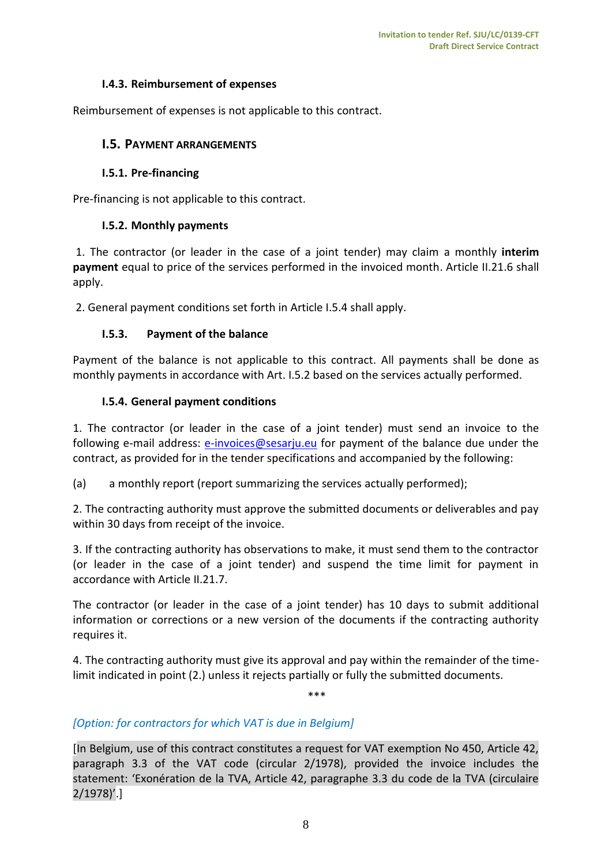#### **I.4.3. Reimbursement of expenses**

<span id="page-7-1"></span><span id="page-7-0"></span>Reimbursement of expenses is not applicable to this contract.

#### **I.5. PAYMENT ARRANGEMENTS**

#### <span id="page-7-2"></span>**I.5.1. Pre-financing**

<span id="page-7-3"></span>Pre-financing is not applicable to this contract.

#### **I.5.2. Monthly payments**

1. The contractor (or leader in the case of a joint tender) may claim a monthly **interim payment** equal to price of the services performed in the invoiced month. Article II.21.6 shall apply.

2. General payment conditions set forth in Article I.5.4 shall apply.

#### <span id="page-7-4"></span>**I.5.3. Payment of the balance**

Payment of the balance is not applicable to this contract. All payments shall be done as monthly payments in accordance with Art. I.5.2 based on the services actually performed.

#### **I.5.4. General payment conditions**

<span id="page-7-5"></span>1. The contractor (or leader in the case of a joint tender) must send an invoice to the following e-mail address: [e-invoices@sesarju.eu](mailto:e-invoices@sesarju.eu) for payment of the balance due under the contract, as provided for in the tender specifications and accompanied by the following:

(a) a monthly report (report summarizing the services actually performed);

2. The contracting authority must approve the submitted documents or deliverables and pay within 30 days from receipt of the invoice.

3. If the contracting authority has observations to make, it must send them to the contractor (or leader in the case of a joint tender) and suspend the time limit for payment in accordance with Article II.21.7.

The contractor (or leader in the case of a joint tender) has 10 days to submit additional information or corrections or a new version of the documents if the contracting authority requires it.

4. The contracting authority must give its approval and pay within the remainder of the timelimit indicated in point (2.) unless it rejects partially or fully the submitted documents.

\*\*\*

# *[Option: for contractors for which VAT is due in Belgium]*

[In Belgium, use of this contract constitutes a request for VAT exemption No 450, Article 42, paragraph 3.3 of the VAT code (circular 2/1978), provided the invoice includes the statement: 'Exonération de la TVA, Article 42, paragraphe 3.3 du code de la TVA (circulaire 2/1978)'.]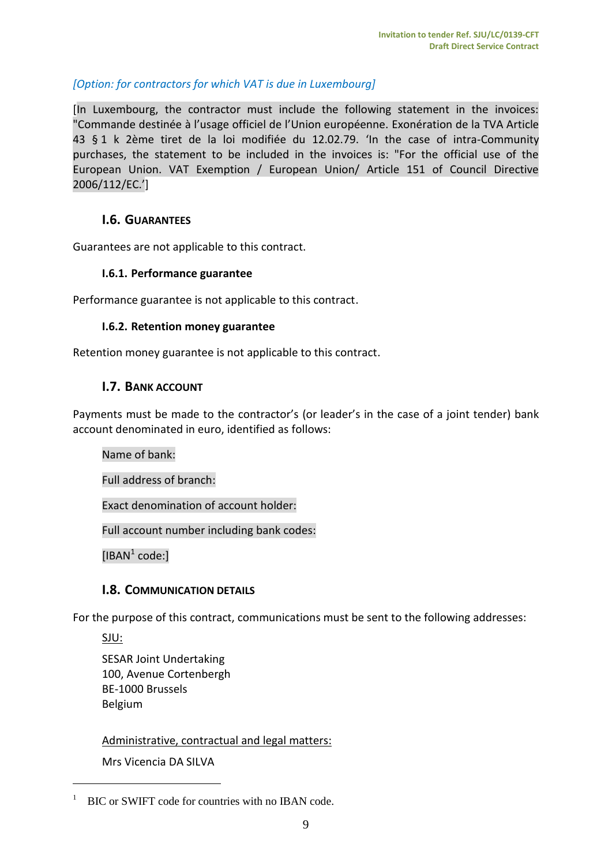# *[Option: for contractors for which VAT is due in Luxembourg]*

[In Luxembourg, the contractor must include the following statement in the invoices: "Commande destinée à l'usage officiel de l'Union européenne. Exonération de la TVA Article 43 § 1 k 2ème tiret de la loi modifiée du 12.02.79. 'In the case of intra-Community purchases, the statement to be included in the invoices is: "For the official use of the European Union. VAT Exemption / European Union/ Article 151 of Council Directive 2006/112/EC.']

#### <span id="page-8-0"></span>**I.6. GUARANTEES**

<span id="page-8-1"></span>Guarantees are not applicable to this contract.

#### **I.6.1. Performance guarantee**

<span id="page-8-2"></span>Performance guarantee is not applicable to this contract.

#### **I.6.2. Retention money guarantee**

<span id="page-8-3"></span>Retention money guarantee is not applicable to this contract.

#### **I.7. BANK ACCOUNT**

Payments must be made to the contractor's (or leader's in the case of a joint tender) bank account denominated in euro, identified as follows:

Name of bank:

Full address of branch:

Exact denomination of account holder:

Full account number including bank codes:

 $[IBAN<sup>1</sup> code.]$ 

#### <span id="page-8-4"></span>**I.8. COMMUNICATION DETAILS**

For the purpose of this contract, communications must be sent to the following addresses:

SJU:

 $\overline{a}$ 

SESAR Joint Undertaking 100, Avenue Cortenbergh BE-1000 Brussels Belgium

#### Administrative, contractual and legal matters:

Mrs Vicencia DA SILVA

<sup>&</sup>lt;sup>1</sup> BIC or SWIFT code for countries with no IBAN code.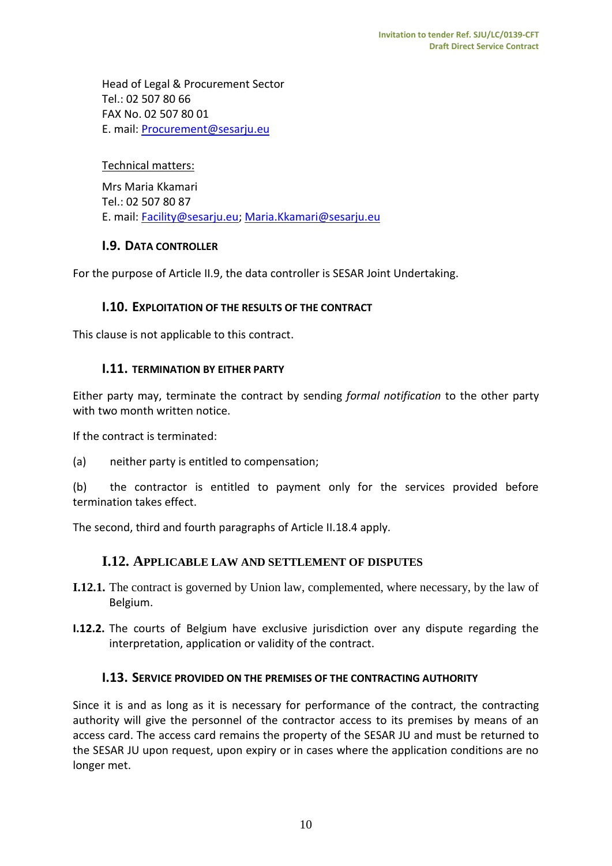Head of Legal & Procurement Sector Tel.: 02 507 80 66 FAX No. 02 507 80 01 E. mail: [Procurement@sesarju.eu](mailto:Procurement@sesarju.eu)

#### Technical matters:

Mrs Maria Kkamari Tel.: 02 507 80 87 E. mail: [Facility@sesarju.eu;](mailto:Facility@sesarju.eu) [Maria.Kkamari@sesarju.eu](mailto:Maria.Kkamari@sesarju.eu)

#### <span id="page-9-0"></span>**I.9. DATA CONTROLLER**

<span id="page-9-1"></span>For the purpose of Article II.9, the data controller is SESAR Joint Undertaking.

## **I.10. EXPLOITATION OF THE RESULTS OF THE CONTRACT**

<span id="page-9-2"></span>This clause is not applicable to this contract.

#### **I.11. TERMINATION BY EITHER PARTY**

Either party may, terminate the contract by sending *formal notification* to the other party with two month written notice.

If the contract is terminated:

(a) neither party is entitled to compensation;

(b) the contractor is entitled to payment only for the services provided before termination takes effect.

<span id="page-9-3"></span>The second, third and fourth paragraphs of Article II.18.4 apply.

#### **I.12. APPLICABLE LAW AND SETTLEMENT OF DISPUTES**

- **I.12.1.** The contract is governed by Union law, complemented, where necessary, by the law of Belgium.
- <span id="page-9-4"></span>**I.12.2.** The courts of Belgium have exclusive jurisdiction over any dispute regarding the interpretation, application or validity of the contract.

#### **I.13. SERVICE PROVIDED ON THE PREMISES OF THE CONTRACTING AUTHORITY**

Since it is and as long as it is necessary for performance of the contract, the contracting authority will give the personnel of the contractor access to its premises by means of an access card. The access card remains the property of the SESAR JU and must be returned to the SESAR JU upon request, upon expiry or in cases where the application conditions are no longer met.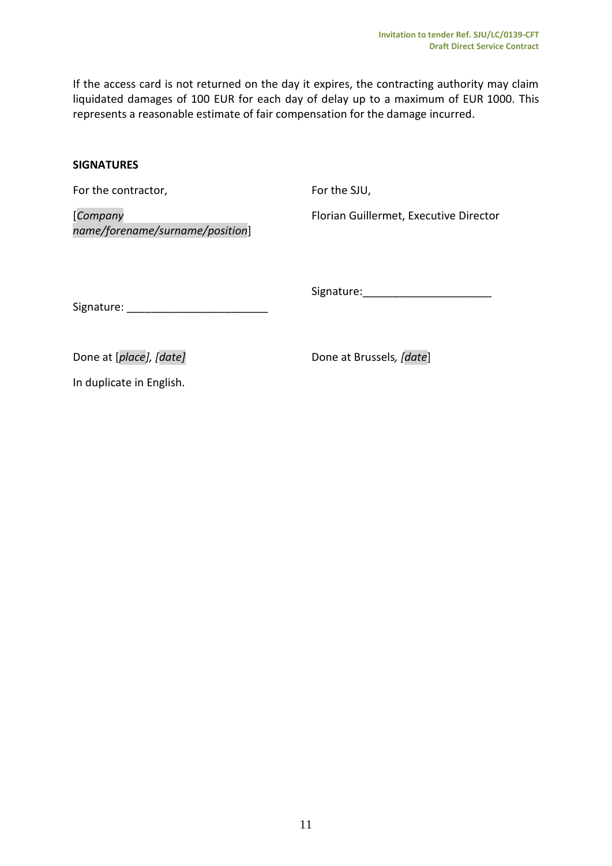If the access card is not returned on the day it expires, the contracting authority may claim liquidated damages of 100 EUR for each day of delay up to a maximum of EUR 1000. This represents a reasonable estimate of fair compensation for the damage incurred.

#### **SIGNATURES**

For the contractor,

For the SJU,

[*Company name/forename/surname/position*]

Florian Guillermet, Executive Director

Signature:\_\_\_\_\_\_\_\_\_\_\_\_\_\_\_\_\_\_\_\_\_

Signature: \_\_\_\_\_\_\_\_\_\_\_\_\_\_\_\_\_\_\_\_\_\_\_

Done at [*place],* [date] Done at Brussels, [date]

In duplicate in English.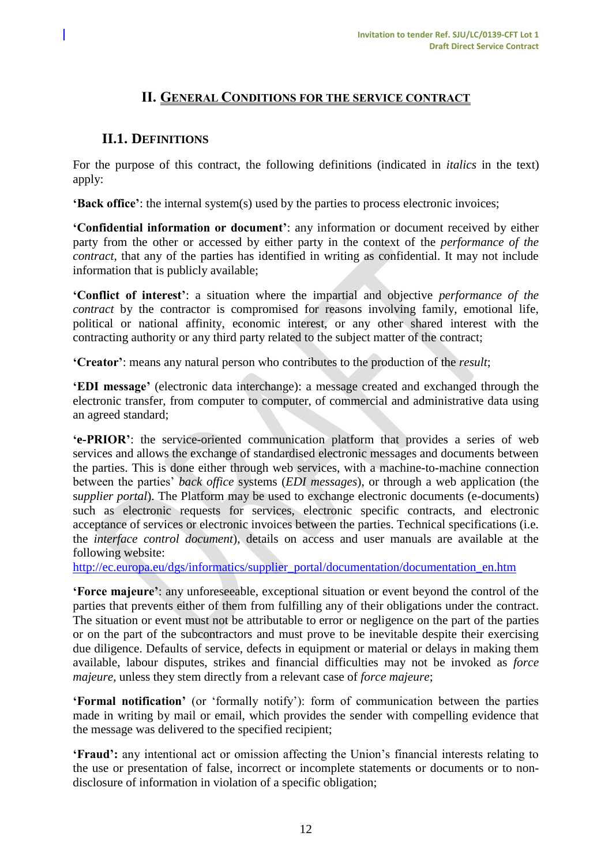# **II. GENERAL CONDITIONS FOR THE SERVICE CONTRACT**

# <span id="page-11-1"></span><span id="page-11-0"></span>**II.1. DEFINITIONS**

For the purpose of this contract, the following definitions (indicated in *italics* in the text) apply:

**'Back office'**: the internal system(s) used by the parties to process electronic invoices;

**'Confidential information or document'**: any information or document received by either party from the other or accessed by either party in the context of the *performance of the contract,* that any of the parties has identified in writing as confidential. It may not include information that is publicly available;

**'Conflict of interest'**: a situation where the impartial and objective *performance of the contract* by the contractor is compromised for reasons involving family, emotional life, political or national affinity, economic interest, or any other shared interest with the contracting authority or any third party related to the subject matter of the contract;

**'Creator'**: means any natural person who contributes to the production of the *result*;

**'EDI message'** (electronic data interchange): a message created and exchanged through the electronic transfer, from computer to computer, of commercial and administrative data using an agreed standard;

**'e-PRIOR'**: the service-oriented communication platform that provides a series of web services and allows the exchange of standardised electronic messages and documents between the parties. This is done either through web services, with a machine-to-machine connection between the parties' *back office* systems (*EDI messages*), or through a web application (the s*upplier portal*). The Platform may be used to exchange electronic documents (e-documents) such as electronic requests for services, electronic specific contracts, and electronic acceptance of services or electronic invoices between the parties. Technical specifications (i.e. the *interface control document*), details on access and user manuals are available at the following website:

[http://ec.europa.eu/dgs/informatics/supplier\\_portal/documentation/documentation\\_en.htm](http://ec.europa.eu/dgs/informatics/supplier_portal/documentation/documentation_en.htm)

**'Force majeure'**: any unforeseeable, exceptional situation or event beyond the control of the parties that prevents either of them from fulfilling any of their obligations under the contract. The situation or event must not be attributable to error or negligence on the part of the parties or on the part of the subcontractors and must prove to be inevitable despite their exercising due diligence. Defaults of service, defects in equipment or material or delays in making them available, labour disputes, strikes and financial difficulties may not be invoked as *force majeure*, unless they stem directly from a relevant case of *force majeure*;

**'Formal notification'** (or 'formally notify'): form of communication between the parties made in writing by mail or email, which provides the sender with compelling evidence that the message was delivered to the specified recipient;

**'Fraud':** any intentional act or omission affecting the Union's financial interests relating to the use or presentation of false, incorrect or incomplete statements or documents or to nondisclosure of information in violation of a specific obligation;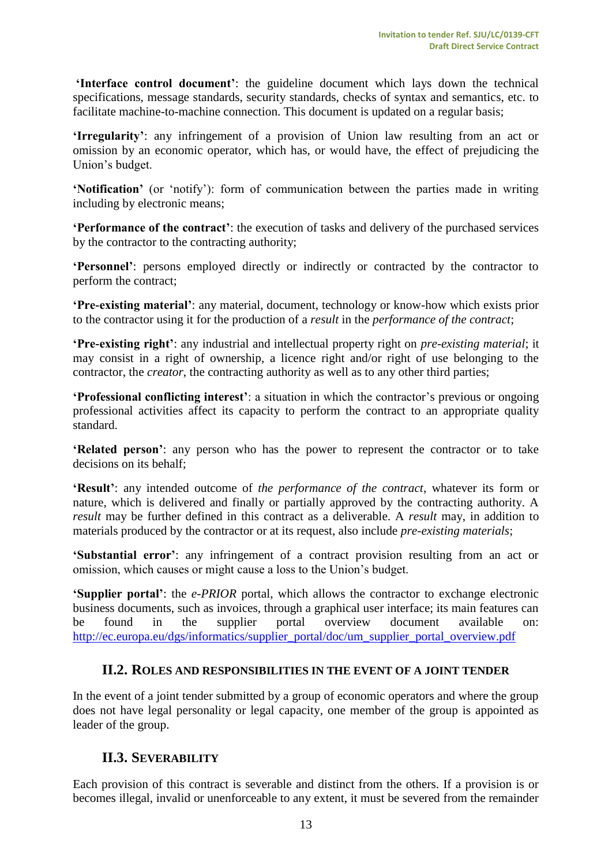**'Interface control document'**: the guideline document which lays down the technical specifications, message standards, security standards, checks of syntax and semantics, etc. to facilitate machine-to-machine connection. This document is updated on a regular basis;

**'Irregularity'**: any infringement of a provision of Union law resulting from an act or omission by an economic operator, which has, or would have, the effect of prejudicing the Union's budget.

**'Notification'** (or 'notify'): form of communication between the parties made in writing including by electronic means;

**'Performance of the contract'**: the execution of tasks and delivery of the purchased services by the contractor to the contracting authority;

**'Personnel'**: persons employed directly or indirectly or contracted by the contractor to perform the contract;

**'Pre-existing material'**: any material, document, technology or know-how which exists prior to the contractor using it for the production of a *result* in the *performance of the contract*;

**'Pre-existing right'**: any industrial and intellectual property right on *pre-existing material*; it may consist in a right of ownership, a licence right and/or right of use belonging to the contractor, the *creator*, the contracting authority as well as to any other third parties;

**'Professional conflicting interest'**: a situation in which the contractor's previous or ongoing professional activities affect its capacity to perform the contract to an appropriate quality standard.

**'Related person'**: any person who has the power to represent the contractor or to take decisions on its behalf;

**'Result'**: any intended outcome of *the performance of the contract*, whatever its form or nature, which is delivered and finally or partially approved by the contracting authority. A *result* may be further defined in this contract as a deliverable. A *result* may, in addition to materials produced by the contractor or at its request, also include *pre-existing materials*;

**'Substantial error'**: any infringement of a contract provision resulting from an act or omission, which causes or might cause a loss to the Union's budget.

**'Supplier portal'**: the *e-PRIOR* portal, which allows the contractor to exchange electronic business documents, such as invoices, through a graphical user interface; its main features can be found in the supplier portal overview document available on: [http://ec.europa.eu/dgs/informatics/supplier\\_portal/doc/um\\_supplier\\_portal\\_overview.pdf](http://ec.europa.eu/dgs/informatics/supplier_portal/doc/um_supplier_portal_overview.pdf)

#### <span id="page-12-0"></span>**II.2. ROLES AND RESPONSIBILITIES IN THE EVENT OF A JOINT TENDER**

In the event of a joint tender submitted by a group of economic operators and where the group does not have legal personality or legal capacity, one member of the group is appointed as leader of the group.

#### <span id="page-12-1"></span>**II.3. SEVERABILITY**

Each provision of this contract is severable and distinct from the others. If a provision is or becomes illegal, invalid or unenforceable to any extent, it must be severed from the remainder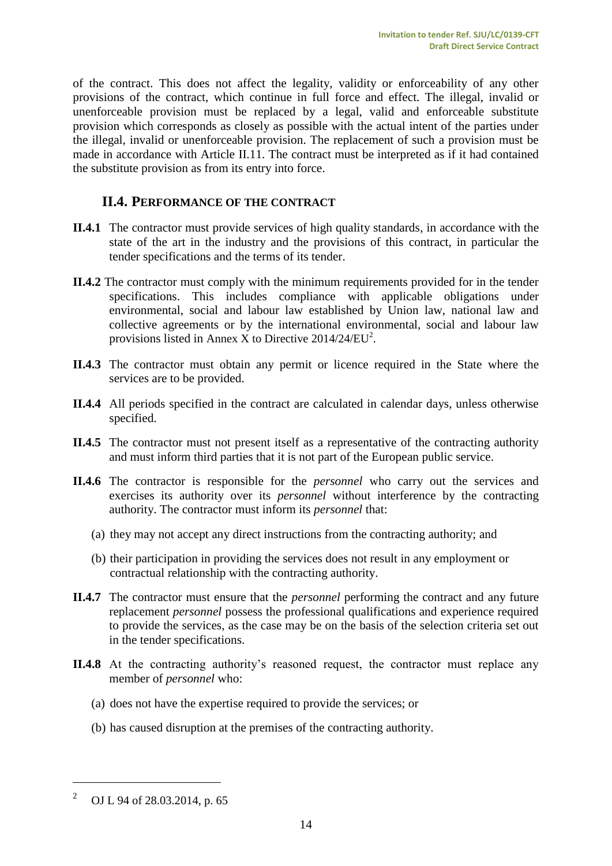of the contract. This does not affect the legality, validity or enforceability of any other provisions of the contract, which continue in full force and effect. The illegal, invalid or unenforceable provision must be replaced by a legal, valid and enforceable substitute provision which corresponds as closely as possible with the actual intent of the parties under the illegal, invalid or unenforceable provision. The replacement of such a provision must be made in accordance with Article II.11. The contract must be interpreted as if it had contained the substitute provision as from its entry into force.

# <span id="page-13-0"></span>**II.4. PERFORMANCE OF THE CONTRACT**

- **II.4.1** The contractor must provide services of high quality standards, in accordance with the state of the art in the industry and the provisions of this contract, in particular the tender specifications and the terms of its tender.
- **II.4.2** The contractor must comply with the minimum requirements provided for in the tender specifications. This includes compliance with applicable obligations under environmental, social and labour law established by Union law, national law and collective agreements or by the international environmental, social and labour law provisions listed in Annex X to Directive  $2014/24/EU^2$ .
- **II.4.3** The contractor must obtain any permit or licence required in the State where the services are to be provided.
- **II.4.4** All periods specified in the contract are calculated in calendar days, unless otherwise specified.
- **II.4.5** The contractor must not present itself as a representative of the contracting authority and must inform third parties that it is not part of the European public service.
- **II.4.6** The contractor is responsible for the *personnel* who carry out the services and exercises its authority over its *personnel* without interference by the contracting authority. The contractor must inform its *personnel* that:
	- (a) they may not accept any direct instructions from the contracting authority; and
	- (b) their participation in providing the services does not result in any employment or contractual relationship with the contracting authority.
- **II.4.7** The contractor must ensure that the *personnel* performing the contract and any future replacement *personnel* possess the professional qualifications and experience required to provide the services, as the case may be on the basis of the selection criteria set out in the tender specifications.
- **II.4.8** At the contracting authority's reasoned request, the contractor must replace any member of *personnel* who:
	- (a) does not have the expertise required to provide the services; or
	- (b) has caused disruption at the premises of the contracting authority.

 $\overline{a}$ 

<sup>2</sup> OJ L 94 of 28.03.2014, p. 65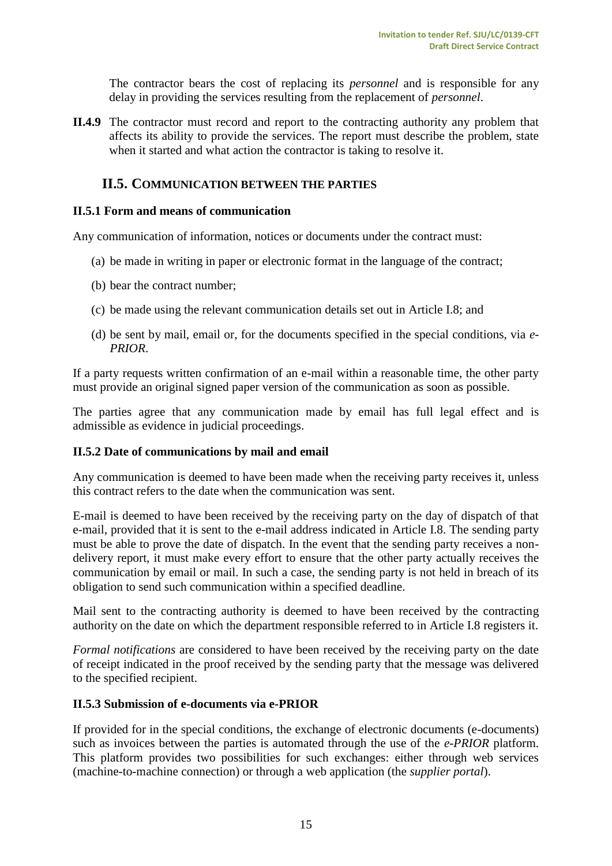The contractor bears the cost of replacing its *personnel* and is responsible for any delay in providing the services resulting from the replacement of *personnel*.

**II.4.9** The contractor must record and report to the contracting authority any problem that affects its ability to provide the services. The report must describe the problem, state when it started and what action the contractor is taking to resolve it.

#### <span id="page-14-0"></span>**II.5. COMMUNICATION BETWEEN THE PARTIES**

#### <span id="page-14-1"></span>**II.5.1 Form and means of communication**

Any communication of information, notices or documents under the contract must:

- (a) be made in writing in paper or electronic format in the language of the contract;
- (b) bear the contract number;
- (c) be made using the relevant communication details set out in Article I.8; and
- (d) be sent by mail, email or, for the documents specified in the special conditions, via *e-PRIOR*.

If a party requests written confirmation of an e-mail within a reasonable time, the other party must provide an original signed paper version of the communication as soon as possible.

The parties agree that any communication made by email has full legal effect and is admissible as evidence in judicial proceedings.

#### <span id="page-14-2"></span>**II.5.2 Date of communications by mail and email**

Any communication is deemed to have been made when the receiving party receives it, unless this contract refers to the date when the communication was sent.

E-mail is deemed to have been received by the receiving party on the day of dispatch of that e-mail, provided that it is sent to the e-mail address indicated in Article I.8. The sending party must be able to prove the date of dispatch. In the event that the sending party receives a nondelivery report, it must make every effort to ensure that the other party actually receives the communication by email or mail. In such a case, the sending party is not held in breach of its obligation to send such communication within a specified deadline.

Mail sent to the contracting authority is deemed to have been received by the contracting authority on the date on which the department responsible referred to in Article I.8 registers it.

*Formal notifications* are considered to have been received by the receiving party on the date of receipt indicated in the proof received by the sending party that the message was delivered to the specified recipient.

#### <span id="page-14-3"></span>**II.5.3 Submission of e-documents via e-PRIOR**

If provided for in the special conditions, the exchange of electronic documents (e-documents) such as invoices between the parties is automated through the use of the *e-PRIOR* platform. This platform provides two possibilities for such exchanges: either through web services (machine-to-machine connection) or through a web application (the *supplier portal*).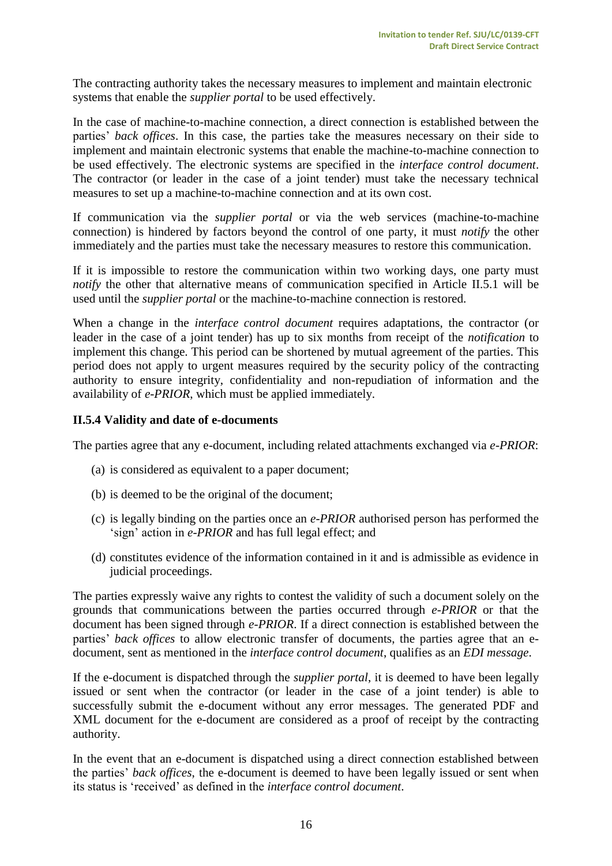The contracting authority takes the necessary measures to implement and maintain electronic systems that enable the *supplier portal* to be used effectively.

In the case of machine-to-machine connection, a direct connection is established between the parties' *back offices*. In this case, the parties take the measures necessary on their side to implement and maintain electronic systems that enable the machine-to-machine connection to be used effectively. The electronic systems are specified in the *interface control document*. The contractor (or leader in the case of a joint tender) must take the necessary technical measures to set up a machine-to-machine connection and at its own cost.

If communication via the *supplier portal* or via the web services (machine-to-machine connection) is hindered by factors beyond the control of one party, it must *notify* the other immediately and the parties must take the necessary measures to restore this communication.

If it is impossible to restore the communication within two working days, one party must *notify* the other that alternative means of communication specified in Article II.5.1 will be used until the *supplier portal* or the machine-to-machine connection is restored.

When a change in the *interface control document* requires adaptations, the contractor (or leader in the case of a joint tender) has up to six months from receipt of the *notification* to implement this change. This period can be shortened by mutual agreement of the parties. This period does not apply to urgent measures required by the security policy of the contracting authority to ensure integrity, confidentiality and non-repudiation of information and the availability of *e-PRIOR*, which must be applied immediately.

#### <span id="page-15-0"></span>**II.5.4 Validity and date of e-documents**

The parties agree that any e-document, including related attachments exchanged via *e-PRIOR*:

- (a) is considered as equivalent to a paper document;
- (b) is deemed to be the original of the document;
- (c) is legally binding on the parties once an *e-PRIOR* authorised person has performed the 'sign' action in *e-PRIOR* and has full legal effect; and
- (d) constitutes evidence of the information contained in it and is admissible as evidence in judicial proceedings.

The parties expressly waive any rights to contest the validity of such a document solely on the grounds that communications between the parties occurred through *e-PRIOR* or that the document has been signed through *e-PRIOR*. If a direct connection is established between the parties' *back offices* to allow electronic transfer of documents, the parties agree that an edocument, sent as mentioned in the *interface control document*, qualifies as an *EDI message*.

If the e-document is dispatched through the *supplier portal*, it is deemed to have been legally issued or sent when the contractor (or leader in the case of a joint tender) is able to successfully submit the e-document without any error messages. The generated PDF and XML document for the e-document are considered as a proof of receipt by the contracting authority.

In the event that an e-document is dispatched using a direct connection established between the parties' *back offices*, the e-document is deemed to have been legally issued or sent when its status is 'received' as defined in the *interface control document*.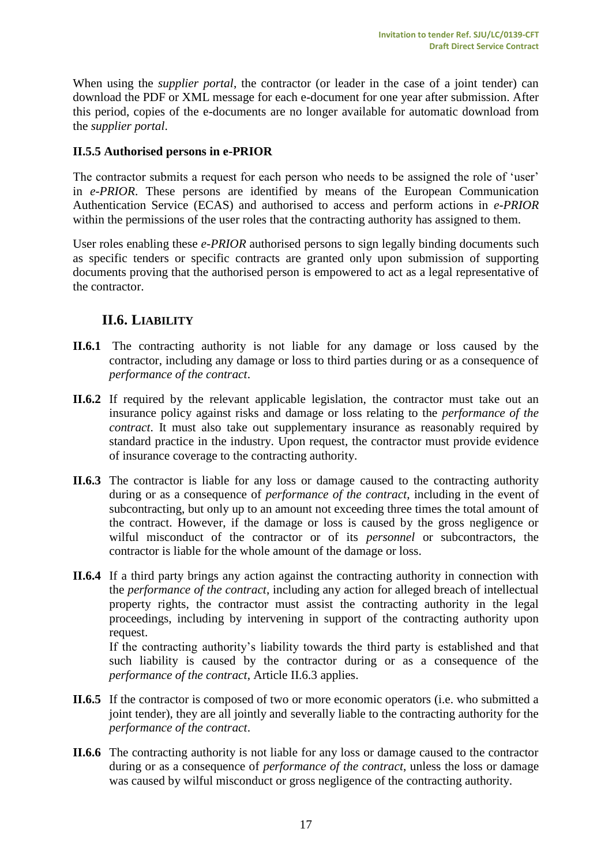When using the *supplier portal*, the contractor (or leader in the case of a joint tender) can download the PDF or XML message for each e-document for one year after submission. After this period, copies of the e-documents are no longer available for automatic download from the *supplier portal*.

#### <span id="page-16-0"></span>**II.5.5 Authorised persons in e-PRIOR**

The contractor submits a request for each person who needs to be assigned the role of 'user' in *e-PRIOR*. These persons are identified by means of the European Communication Authentication Service (ECAS) and authorised to access and perform actions in *e-PRIOR* within the permissions of the user roles that the contracting authority has assigned to them.

User roles enabling these *e-PRIOR* authorised persons to sign legally binding documents such as specific tenders or specific contracts are granted only upon submission of supporting documents proving that the authorised person is empowered to act as a legal representative of the contractor.

# <span id="page-16-1"></span>**II.6. LIABILITY**

- **II.6.1** The contracting authority is not liable for any damage or loss caused by the contractor, including any damage or loss to third parties during or as a consequence of *performance of the contract*.
- **II.6.2** If required by the relevant applicable legislation, the contractor must take out an insurance policy against risks and damage or loss relating to the *performance of the contract*. It must also take out supplementary insurance as reasonably required by standard practice in the industry. Upon request, the contractor must provide evidence of insurance coverage to the contracting authority.
- **II.6.3** The contractor is liable for any loss or damage caused to the contracting authority during or as a consequence of *performance of the contract*, including in the event of subcontracting, but only up to an amount not exceeding three times the total amount of the contract. However, if the damage or loss is caused by the gross negligence or wilful misconduct of the contractor or of its *personnel* or subcontractors, the contractor is liable for the whole amount of the damage or loss.
- **II.6.4** If a third party brings any action against the contracting authority in connection with the *performance of the contract*, including any action for alleged breach of intellectual property rights, the contractor must assist the contracting authority in the legal proceedings, including by intervening in support of the contracting authority upon request.

If the contracting authority's liability towards the third party is established and that such liability is caused by the contractor during or as a consequence of the *performance of the contract*, Article II.6.3 applies.

- **II.6.5** If the contractor is composed of two or more economic operators (i.e. who submitted a joint tender), they are all jointly and severally liable to the contracting authority for the *performance of the contract*.
- **II.6.6** The contracting authority is not liable for any loss or damage caused to the contractor during or as a consequence of *performance of the contract*, unless the loss or damage was caused by wilful misconduct or gross negligence of the contracting authority.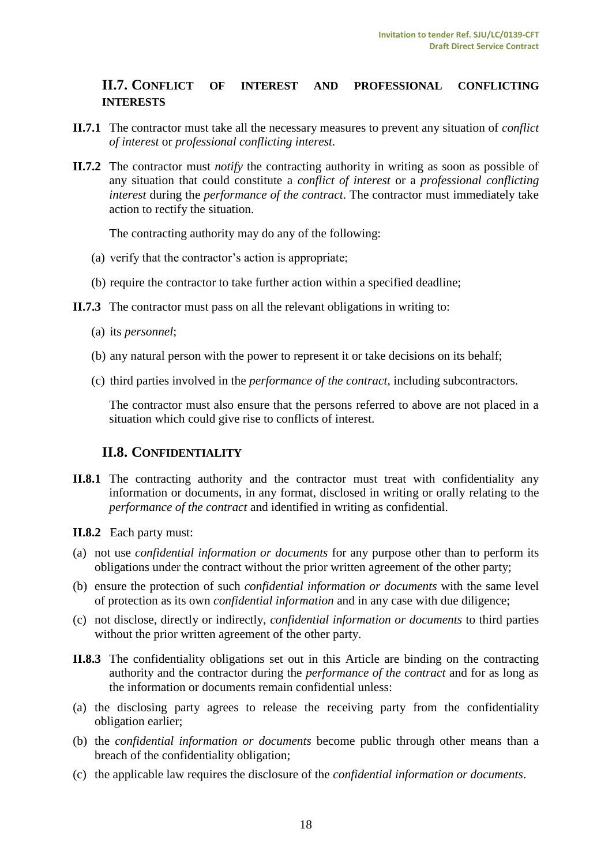# <span id="page-17-0"></span>**II.7. CONFLICT OF INTEREST AND PROFESSIONAL CONFLICTING INTERESTS**

- **II.7.1** The contractor must take all the necessary measures to prevent any situation of *conflict of interest* or *professional conflicting interest.*
- **II.7.2** The contractor must *notify* the contracting authority in writing as soon as possible of any situation that could constitute a *conflict of interest* or a *professional conflicting interest* during the *performance of the contract*. The contractor must immediately take action to rectify the situation.

The contracting authority may do any of the following:

- (a) verify that the contractor's action is appropriate;
- (b) require the contractor to take further action within a specified deadline;
- **II.7.3** The contractor must pass on all the relevant obligations in writing to:
	- (a) its *personnel*;
	- (b) any natural person with the power to represent it or take decisions on its behalf;
	- (c) third parties involved in the *performance of the contract*, including subcontractors.

The contractor must also ensure that the persons referred to above are not placed in a situation which could give rise to conflicts of interest.

# <span id="page-17-1"></span>**II.8. CONFIDENTIALITY**

- **II.8.1** The contracting authority and the contractor must treat with confidentiality any information or documents, in any format, disclosed in writing or orally relating to the *performance of the contract* and identified in writing as confidential.
- **II.8.2** Each party must:
- (a) not use *confidential information or documents* for any purpose other than to perform its obligations under the contract without the prior written agreement of the other party;
- (b) ensure the protection of such *confidential information or documents* with the same level of protection as its own *confidential information* and in any case with due diligence;
- (c) not disclose, directly or indirectly, *confidential information or documents* to third parties without the prior written agreement of the other party.
- **II.8.3** The confidentiality obligations set out in this Article are binding on the contracting authority and the contractor during the *performance of the contract* and for as long as the information or documents remain confidential unless:
- (a) the disclosing party agrees to release the receiving party from the confidentiality obligation earlier;
- (b) the *confidential information or documents* become public through other means than a breach of the confidentiality obligation;
- (c) the applicable law requires the disclosure of the *confidential information or documents*.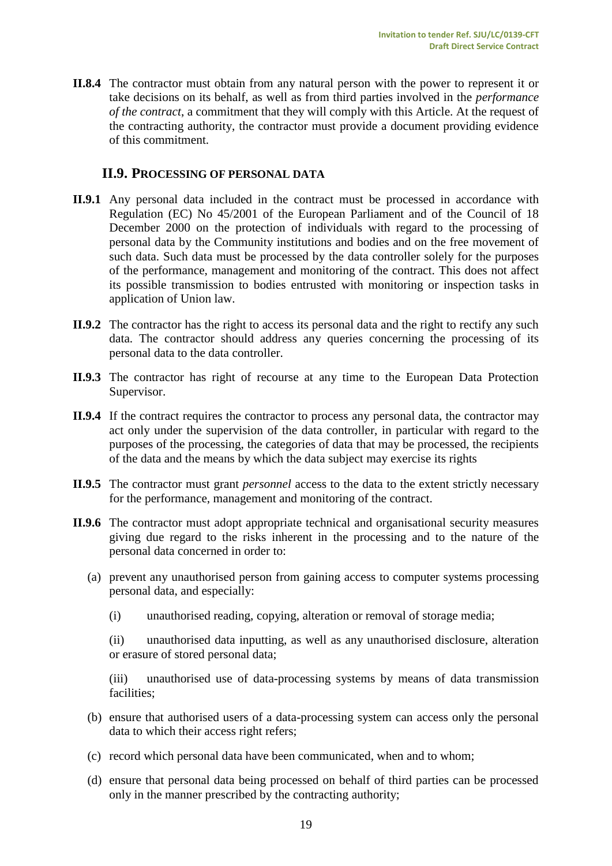**II.8.4** The contractor must obtain from any natural person with the power to represent it or take decisions on its behalf, as well as from third parties involved in the *performance of the contract*, a commitment that they will comply with this Article. At the request of the contracting authority, the contractor must provide a document providing evidence of this commitment.

# <span id="page-18-0"></span>**II.9. PROCESSING OF PERSONAL DATA**

- **II.9.1** Any personal data included in the contract must be processed in accordance with Regulation (EC) No 45/2001 of the European Parliament and of the Council of 18 December 2000 on the protection of individuals with regard to the processing of personal data by the Community institutions and bodies and on the free movement of such data. Such data must be processed by the data controller solely for the purposes of the performance, management and monitoring of the contract. This does not affect its possible transmission to bodies entrusted with monitoring or inspection tasks in application of Union law.
- **II.9.2** The contractor has the right to access its personal data and the right to rectify any such data. The contractor should address any queries concerning the processing of its personal data to the data controller.
- **II.9.3** The contractor has right of recourse at any time to the European Data Protection Supervisor.
- **II.9.4** If the contract requires the contractor to process any personal data, the contractor may act only under the supervision of the data controller, in particular with regard to the purposes of the processing, the categories of data that may be processed, the recipients of the data and the means by which the data subject may exercise its rights
- **II.9.5** The contractor must grant *personnel* access to the data to the extent strictly necessary for the performance, management and monitoring of the contract.
- **II.9.6** The contractor must adopt appropriate technical and organisational security measures giving due regard to the risks inherent in the processing and to the nature of the personal data concerned in order to:
	- (a) prevent any unauthorised person from gaining access to computer systems processing personal data, and especially:
		- (i) unauthorised reading, copying, alteration or removal of storage media;

(ii) unauthorised data inputting, as well as any unauthorised disclosure, alteration or erasure of stored personal data;

(iii) unauthorised use of data-processing systems by means of data transmission facilities;

- (b) ensure that authorised users of a data-processing system can access only the personal data to which their access right refers;
- (c) record which personal data have been communicated, when and to whom;
- (d) ensure that personal data being processed on behalf of third parties can be processed only in the manner prescribed by the contracting authority;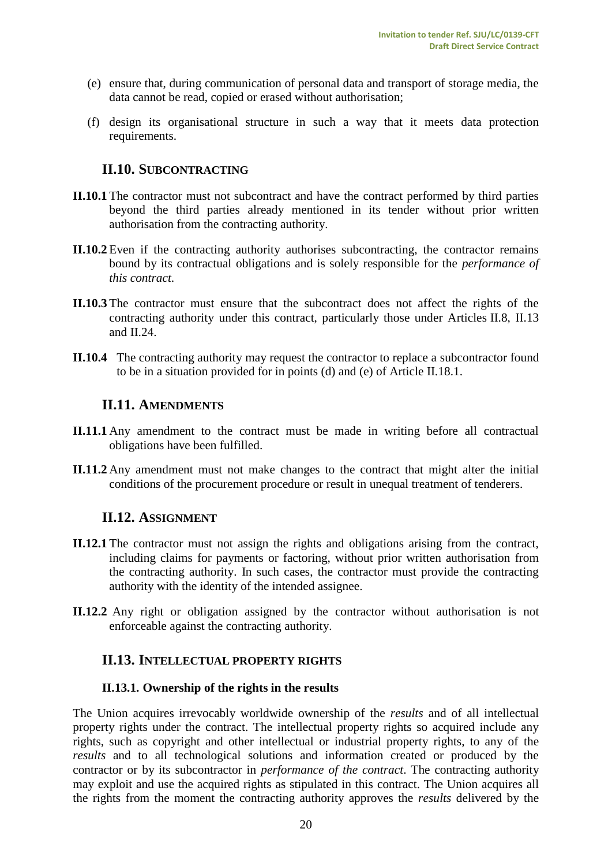- (e) ensure that, during communication of personal data and transport of storage media, the data cannot be read, copied or erased without authorisation;
- (f) design its organisational structure in such a way that it meets data protection requirements.

# <span id="page-19-0"></span>**II.10. SUBCONTRACTING**

- **II.10.1** The contractor must not subcontract and have the contract performed by third parties beyond the third parties already mentioned in its tender without prior written authorisation from the contracting authority.
- **II.10.2** Even if the contracting authority authorises subcontracting, the contractor remains bound by its contractual obligations and is solely responsible for the *performance of this contract*.
- **II.10.3** The contractor must ensure that the subcontract does not affect the rights of the contracting authority under this contract, particularly those under Articles II.8, II.13 and II.24.
- <span id="page-19-1"></span>**II.10.4** The contracting authority may request the contractor to replace a subcontractor found to be in a situation provided for in points (d) and (e) of Article II.18.1.

#### **II.11. AMENDMENTS**

- **II.11.1** Any amendment to the contract must be made in writing before all contractual obligations have been fulfilled.
- <span id="page-19-2"></span>**II.11.2** Any amendment must not make changes to the contract that might alter the initial conditions of the procurement procedure or result in unequal treatment of tenderers.

#### **II.12. ASSIGNMENT**

- **II.12.1** The contractor must not assign the rights and obligations arising from the contract, including claims for payments or factoring, without prior written authorisation from the contracting authority. In such cases, the contractor must provide the contracting authority with the identity of the intended assignee.
- <span id="page-19-3"></span>**II.12.2** Any right or obligation assigned by the contractor without authorisation is not enforceable against the contracting authority.

#### **II.13. INTELLECTUAL PROPERTY RIGHTS**

#### <span id="page-19-4"></span>**II.13.1. Ownership of the rights in the results**

The Union acquires irrevocably worldwide ownership of the *results* and of all intellectual property rights under the contract. The intellectual property rights so acquired include any rights, such as copyright and other intellectual or industrial property rights, to any of the *results* and to all technological solutions and information created or produced by the contractor or by its subcontractor in *performance of the contract*. The contracting authority may exploit and use the acquired rights as stipulated in this contract. The Union acquires all the rights from the moment the contracting authority approves the *results* delivered by the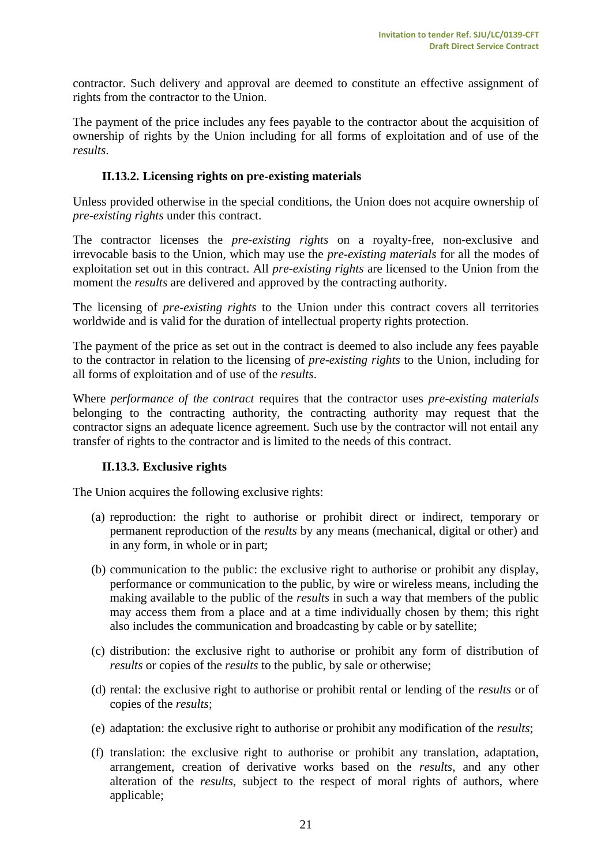contractor. Such delivery and approval are deemed to constitute an effective assignment of rights from the contractor to the Union.

The payment of the price includes any fees payable to the contractor about the acquisition of ownership of rights by the Union including for all forms of exploitation and of use of the *results*.

#### **II.13.2. Licensing rights on pre-existing materials**

<span id="page-20-0"></span>Unless provided otherwise in the special conditions, the Union does not acquire ownership of *pre-existing rights* under this contract.

The contractor licenses the *pre-existing rights* on a royalty-free, non-exclusive and irrevocable basis to the Union, which may use the *pre-existing materials* for all the modes of exploitation set out in this contract. All *pre-existing rights* are licensed to the Union from the moment the *results* are delivered and approved by the contracting authority.

The licensing of *pre-existing rights* to the Union under this contract covers all territories worldwide and is valid for the duration of intellectual property rights protection.

The payment of the price as set out in the contract is deemed to also include any fees payable to the contractor in relation to the licensing of *pre-existing rights* to the Union, including for all forms of exploitation and of use of the *results*.

Where *performance of the contract* requires that the contractor uses *pre-existing materials* belonging to the contracting authority, the contracting authority may request that the contractor signs an adequate licence agreement. Such use by the contractor will not entail any transfer of rights to the contractor and is limited to the needs of this contract.

#### <span id="page-20-1"></span>**II.13.3. Exclusive rights**

The Union acquires the following exclusive rights:

- (a) reproduction: the right to authorise or prohibit direct or indirect, temporary or permanent reproduction of the *results* by any means (mechanical, digital or other) and in any form, in whole or in part;
- (b) communication to the public: the exclusive right to authorise or prohibit any display, performance or communication to the public, by wire or wireless means, including the making available to the public of the *results* in such a way that members of the public may access them from a place and at a time individually chosen by them; this right also includes the communication and broadcasting by cable or by satellite;
- (c) distribution: the exclusive right to authorise or prohibit any form of distribution of *results* or copies of the *results* to the public, by sale or otherwise;
- (d) rental: the exclusive right to authorise or prohibit rental or lending of the *results* or of copies of the *results*;
- (e) adaptation: the exclusive right to authorise or prohibit any modification of the *results*;
- (f) translation: the exclusive right to authorise or prohibit any translation, adaptation, arrangement, creation of derivative works based on the *results*, and any other alteration of the *results*, subject to the respect of moral rights of authors, where applicable;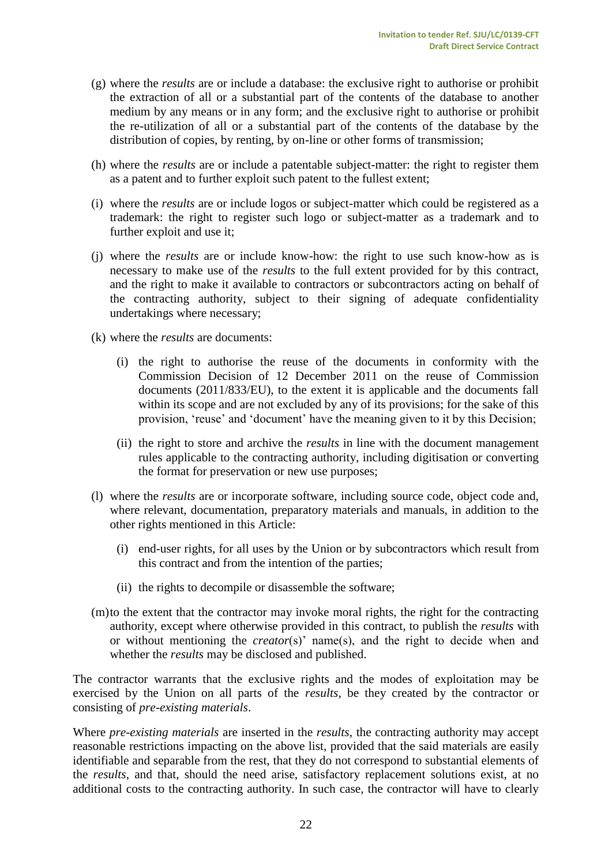- (g) where the *results* are or include a database: the exclusive right to authorise or prohibit the extraction of all or a substantial part of the contents of the database to another medium by any means or in any form; and the exclusive right to authorise or prohibit the re-utilization of all or a substantial part of the contents of the database by the distribution of copies, by renting, by on-line or other forms of transmission;
- (h) where the *results* are or include a patentable subject-matter: the right to register them as a patent and to further exploit such patent to the fullest extent;
- (i) where the *results* are or include logos or subject-matter which could be registered as a trademark: the right to register such logo or subject-matter as a trademark and to further exploit and use it;
- (j) where the *results* are or include know-how: the right to use such know-how as is necessary to make use of the *results* to the full extent provided for by this contract, and the right to make it available to contractors or subcontractors acting on behalf of the contracting authority, subject to their signing of adequate confidentiality undertakings where necessary;
- (k) where the *results* are documents:
	- (i) the right to authorise the reuse of the documents in conformity with the Commission Decision of 12 December 2011 on the reuse of Commission documents (2011/833/EU), to the extent it is applicable and the documents fall within its scope and are not excluded by any of its provisions; for the sake of this provision, 'reuse' and 'document' have the meaning given to it by this Decision;
	- (ii) the right to store and archive the *results* in line with the document management rules applicable to the contracting authority, including digitisation or converting the format for preservation or new use purposes;
- (l) where the *results* are or incorporate software, including source code, object code and, where relevant, documentation, preparatory materials and manuals, in addition to the other rights mentioned in this Article:
	- (i) end-user rights, for all uses by the Union or by subcontractors which result from this contract and from the intention of the parties;
	- (ii) the rights to decompile or disassemble the software;
- (m)to the extent that the contractor may invoke moral rights, the right for the contracting authority, except where otherwise provided in this contract, to publish the *results* with or without mentioning the *creator*(s)' name(s), and the right to decide when and whether the *results* may be disclosed and published.

The contractor warrants that the exclusive rights and the modes of exploitation may be exercised by the Union on all parts of the *results*, be they created by the contractor or consisting of *pre-existing materials*.

Where *pre-existing materials* are inserted in the *results*, the contracting authority may accept reasonable restrictions impacting on the above list, provided that the said materials are easily identifiable and separable from the rest, that they do not correspond to substantial elements of the *results*, and that, should the need arise, satisfactory replacement solutions exist, at no additional costs to the contracting authority. In such case, the contractor will have to clearly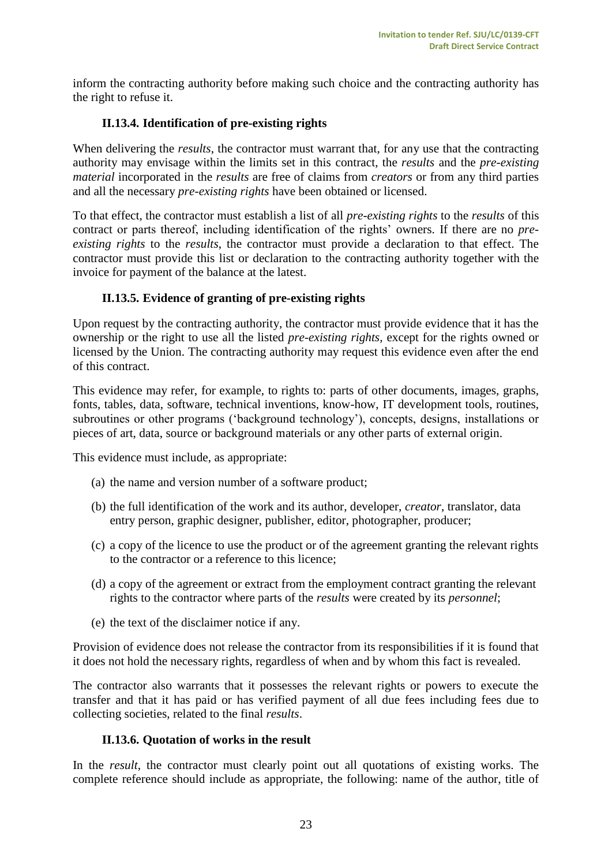inform the contracting authority before making such choice and the contracting authority has the right to refuse it.

## <span id="page-22-0"></span>**II.13.4. Identification of pre-existing rights**

When delivering the *results*, the contractor must warrant that, for any use that the contracting authority may envisage within the limits set in this contract, the *results* and the *pre-existing material* incorporated in the *results* are free of claims from *creators* or from any third parties and all the necessary *pre-existing rights* have been obtained or licensed.

To that effect, the contractor must establish a list of all *pre-existing rights* to the *results* of this contract or parts thereof, including identification of the rights' owners. If there are no *preexisting rights* to the *results*, the contractor must provide a declaration to that effect. The contractor must provide this list or declaration to the contracting authority together with the invoice for payment of the balance at the latest.

#### <span id="page-22-1"></span>**II.13.5. Evidence of granting of pre-existing rights**

Upon request by the contracting authority, the contractor must provide evidence that it has the ownership or the right to use all the listed *pre-existing rights*, except for the rights owned or licensed by the Union. The contracting authority may request this evidence even after the end of this contract.

This evidence may refer, for example, to rights to: parts of other documents, images, graphs, fonts, tables, data, software, technical inventions, know-how, IT development tools, routines, subroutines or other programs ('background technology'), concepts, designs, installations or pieces of art, data, source or background materials or any other parts of external origin.

This evidence must include, as appropriate:

- (a) the name and version number of a software product;
- (b) the full identification of the work and its author, developer, *creator*, translator, data entry person, graphic designer, publisher, editor, photographer, producer;
- (c) a copy of the licence to use the product or of the agreement granting the relevant rights to the contractor or a reference to this licence;
- (d) a copy of the agreement or extract from the employment contract granting the relevant rights to the contractor where parts of the *results* were created by its *personnel*;
- (e) the text of the disclaimer notice if any.

Provision of evidence does not release the contractor from its responsibilities if it is found that it does not hold the necessary rights, regardless of when and by whom this fact is revealed.

The contractor also warrants that it possesses the relevant rights or powers to execute the transfer and that it has paid or has verified payment of all due fees including fees due to collecting societies, related to the final *results*.

#### <span id="page-22-2"></span>**II.13.6. Quotation of works in the result**

In the *result*, the contractor must clearly point out all quotations of existing works. The complete reference should include as appropriate, the following: name of the author, title of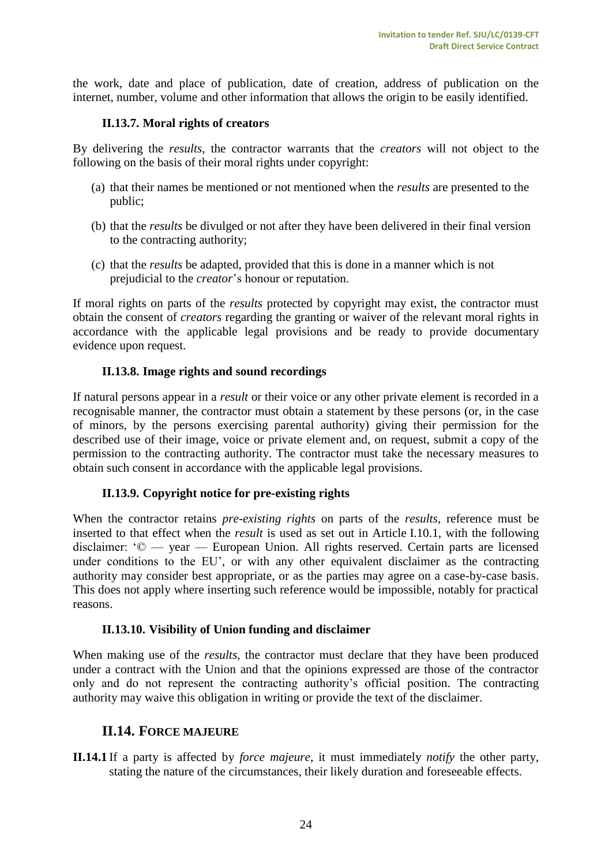the work, date and place of publication, date of creation, address of publication on the internet, number, volume and other information that allows the origin to be easily identified.

#### **II.13.7. Moral rights of creators**

<span id="page-23-0"></span>By delivering the *results*, the contractor warrants that the *creators* will not object to the following on the basis of their moral rights under copyright:

- (a) that their names be mentioned or not mentioned when the *results* are presented to the public;
- (b) that the *results* be divulged or not after they have been delivered in their final version to the contracting authority;
- (c) that the *results* be adapted, provided that this is done in a manner which is not prejudicial to the *creator*'s honour or reputation.

If moral rights on parts of the *results* protected by copyright may exist, the contractor must obtain the consent of *creators* regarding the granting or waiver of the relevant moral rights in accordance with the applicable legal provisions and be ready to provide documentary evidence upon request.

#### **II.13.8. Image rights and sound recordings**

<span id="page-23-1"></span>If natural persons appear in a *result* or their voice or any other private element is recorded in a recognisable manner, the contractor must obtain a statement by these persons (or, in the case of minors, by the persons exercising parental authority) giving their permission for the described use of their image, voice or private element and, on request, submit a copy of the permission to the contracting authority. The contractor must take the necessary measures to obtain such consent in accordance with the applicable legal provisions.

#### <span id="page-23-2"></span>**II.13.9. Copyright notice for pre-existing rights**

When the contractor retains *pre-existing rights* on parts of the *results*, reference must be inserted to that effect when the *result* is used as set out in Article I.10.1, with the following disclaimer: '© — year — European Union. All rights reserved. Certain parts are licensed under conditions to the EU', or with any other equivalent disclaimer as the contracting authority may consider best appropriate, or as the parties may agree on a case-by-case basis. This does not apply where inserting such reference would be impossible, notably for practical reasons.

#### **II.13.10. Visibility of Union funding and disclaimer**

<span id="page-23-3"></span>When making use of the *results*, the contractor must declare that they have been produced under a contract with the Union and that the opinions expressed are those of the contractor only and do not represent the contracting authority's official position. The contracting authority may waive this obligation in writing or provide the text of the disclaimer.

# <span id="page-23-4"></span>**II.14. FORCE MAJEURE**

**II.14.1** If a party is affected by *force majeure*, it must immediately *notify* the other party, stating the nature of the circumstances, their likely duration and foreseeable effects.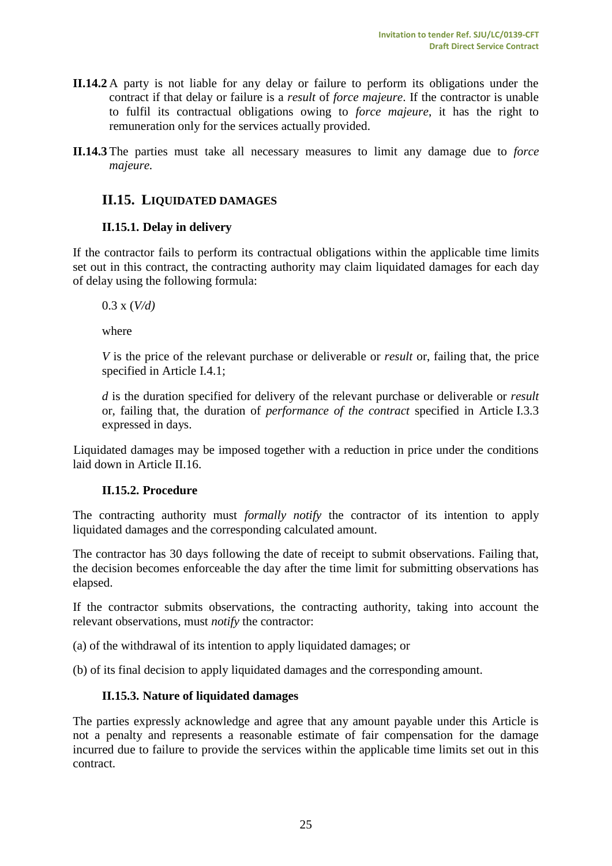- **II.14.2** A party is not liable for any delay or failure to perform its obligations under the contract if that delay or failure is a *result* of *force majeure*. If the contractor is unable to fulfil its contractual obligations owing to *force majeure*, it has the right to remuneration only for the services actually provided.
- **II.14.3** The parties must take all necessary measures to limit any damage due to *force majeure.*

# <span id="page-24-0"></span>**II.15. LIQUIDATED DAMAGES**

#### **II.15.1. Delay in delivery**

<span id="page-24-1"></span>If the contractor fails to perform its contractual obligations within the applicable time limits set out in this contract, the contracting authority may claim liquidated damages for each day of delay using the following formula:

0.3 x (*V/d)*

where

*V* is the price of the relevant purchase or deliverable or *result* or, failing that, the price specified in Article I.4.1;

*d* is the duration specified for delivery of the relevant purchase or deliverable or *result* or, failing that, the duration of *performance of the contract* specified in Article I.3.3 expressed in days.

Liquidated damages may be imposed together with a reduction in price under the conditions laid down in Article II.16.

#### **II.15.2. Procedure**

<span id="page-24-2"></span>The contracting authority must *formally notify* the contractor of its intention to apply liquidated damages and the corresponding calculated amount.

The contractor has 30 days following the date of receipt to submit observations. Failing that, the decision becomes enforceable the day after the time limit for submitting observations has elapsed.

If the contractor submits observations, the contracting authority, taking into account the relevant observations, must *notify* the contractor:

(a) of the withdrawal of its intention to apply liquidated damages; or

<span id="page-24-3"></span>(b) of its final decision to apply liquidated damages and the corresponding amount.

# **II.15.3. Nature of liquidated damages**

The parties expressly acknowledge and agree that any amount payable under this Article is not a penalty and represents a reasonable estimate of fair compensation for the damage incurred due to failure to provide the services within the applicable time limits set out in this contract.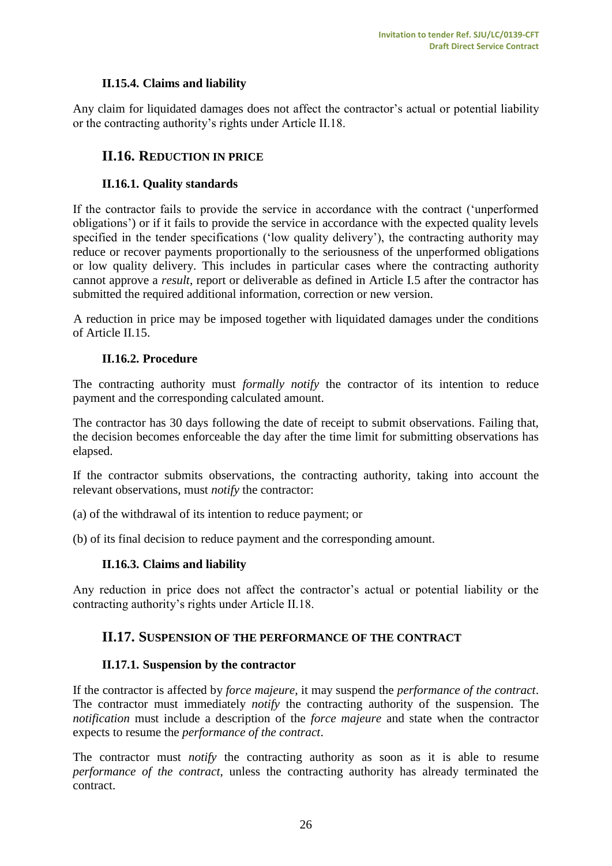# **II.15.4. Claims and liability**

<span id="page-25-1"></span><span id="page-25-0"></span>Any claim for liquidated damages does not affect the contractor's actual or potential liability or the contracting authority's rights under Article II.18.

# **II.16. REDUCTION IN PRICE**

## **II.16.1. Quality standards**

<span id="page-25-2"></span>If the contractor fails to provide the service in accordance with the contract ('unperformed obligations') or if it fails to provide the service in accordance with the expected quality levels specified in the tender specifications ('low quality delivery'), the contracting authority may reduce or recover payments proportionally to the seriousness of the unperformed obligations or low quality delivery. This includes in particular cases where the contracting authority cannot approve a *result*, report or deliverable as defined in Article I.5 after the contractor has submitted the required additional information, correction or new version.

A reduction in price may be imposed together with liquidated damages under the conditions of Article II.15.

#### **II.16.2. Procedure**

<span id="page-25-3"></span>The contracting authority must *formally notify* the contractor of its intention to reduce payment and the corresponding calculated amount.

The contractor has 30 days following the date of receipt to submit observations. Failing that, the decision becomes enforceable the day after the time limit for submitting observations has elapsed.

If the contractor submits observations, the contracting authority, taking into account the relevant observations, must *notify* the contractor:

- (a) of the withdrawal of its intention to reduce payment; or
- <span id="page-25-4"></span>(b) of its final decision to reduce payment and the corresponding amount.

#### **II.16.3. Claims and liability**

<span id="page-25-5"></span>Any reduction in price does not affect the contractor's actual or potential liability or the contracting authority's rights under Article II.18.

#### **II.17. SUSPENSION OF THE PERFORMANCE OF THE CONTRACT**

#### **II.17.1. Suspension by the contractor**

<span id="page-25-6"></span>If the contractor is affected by *force majeure*, it may suspend the *performance of the contract*. The contractor must immediately *notify* the contracting authority of the suspension. The *notification* must include a description of the *force majeure* and state when the contractor expects to resume the *performance of the contract*.

The contractor must *notify* the contracting authority as soon as it is able to resume *performance of the contract*, unless the contracting authority has already terminated the contract.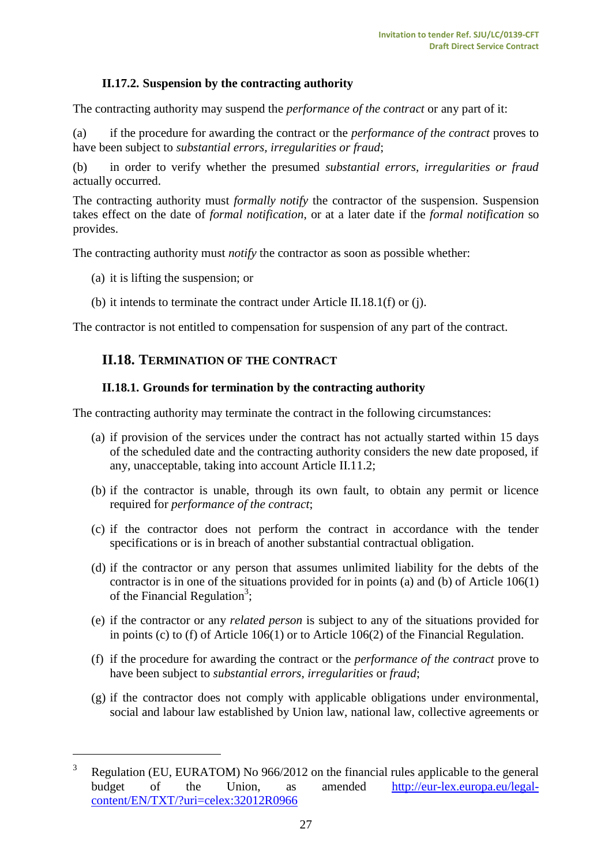# **II.17.2. Suspension by the contracting authority**

<span id="page-26-0"></span>The contracting authority may suspend the *performance of the contract* or any part of it:

(a) if the procedure for awarding the contract or the *performance of the contract* proves to have been subject to *substantial errors, irregularities or fraud*;

(b) in order to verify whether the presumed *substantial errors, irregularities or fraud* actually occurred.

The contracting authority must *formally notify* the contractor of the suspension. Suspension takes effect on the date of *formal notification*, or at a later date if the *formal notification* so provides.

The contracting authority must *notify* the contractor as soon as possible whether:

(a) it is lifting the suspension; or

 $\overline{a}$ 

(b) it intends to terminate the contract under Article II.18.1(f) or (j).

<span id="page-26-1"></span>The contractor is not entitled to compensation for suspension of any part of the contract.

## **II.18. TERMINATION OF THE CONTRACT**

#### **II.18.1. Grounds for termination by the contracting authority**

<span id="page-26-2"></span>The contracting authority may terminate the contract in the following circumstances:

- (a) if provision of the services under the contract has not actually started within 15 days of the scheduled date and the contracting authority considers the new date proposed, if any, unacceptable, taking into account Article II.11.2;
- (b) if the contractor is unable, through its own fault, to obtain any permit or licence required for *performance of the contract*;
- (c) if the contractor does not perform the contract in accordance with the tender specifications or is in breach of another substantial contractual obligation.
- (d) if the contractor or any person that assumes unlimited liability for the debts of the contractor is in one of the situations provided for in points (a) and (b) of Article 106(1) of the Financial Regulation<sup>3</sup>;
- (e) if the contractor or any *related person* is subject to any of the situations provided for in points (c) to (f) of Article 106(1) or to Article 106(2) of the Financial Regulation.
- (f) if the procedure for awarding the contract or the *performance of the contract* prove to have been subject to *substantial errors*, *irregularities* or *fraud*;
- (g) if the contractor does not comply with applicable obligations under environmental, social and labour law established by Union law, national law, collective agreements or

<sup>&</sup>lt;sup>3</sup> Regulation (EU, EURATOM) No 966/2012 on the financial rules applicable to the general budget of the Union, as amended [http://eur-lex.europa.eu/legal](http://eur-lex.europa.eu/legal-content/EN/TXT/?uri=celex:32012R0966)[content/EN/TXT/?uri=celex:32012R0966](http://eur-lex.europa.eu/legal-content/EN/TXT/?uri=celex:32012R0966)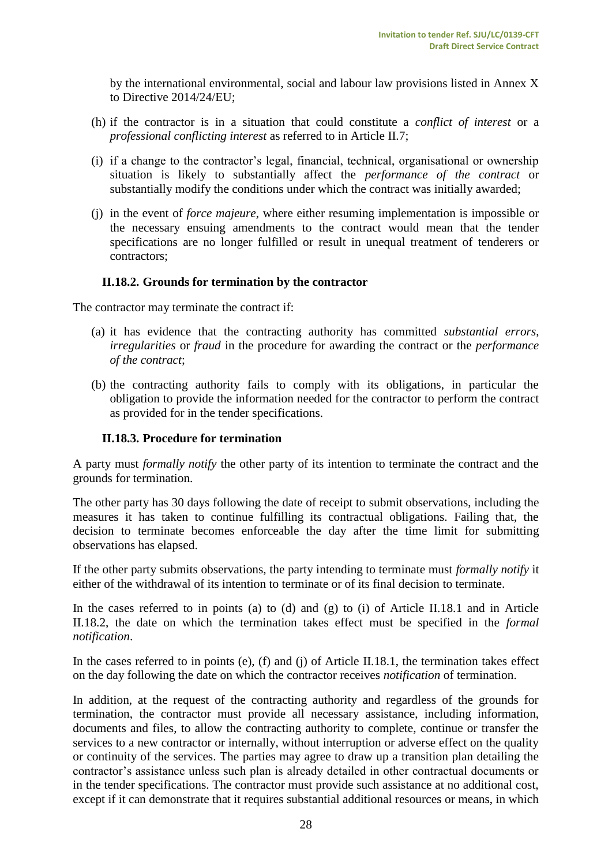by the international environmental, social and labour law provisions listed in Annex X to Directive 2014/24/EU;

- (h) if the contractor is in a situation that could constitute a *conflict of interest* or a *professional conflicting interest* as referred to in Article II.7;
- (i) if a change to the contractor's legal, financial, technical, organisational or ownership situation is likely to substantially affect the *performance of the contract* or substantially modify the conditions under which the contract was initially awarded;
- (j) in the event of *force majeure*, where either resuming implementation is impossible or the necessary ensuing amendments to the contract would mean that the tender specifications are no longer fulfilled or result in unequal treatment of tenderers or contractors;

#### **II.18.2. Grounds for termination by the contractor**

<span id="page-27-0"></span>The contractor may terminate the contract if:

- (a) it has evidence that the contracting authority has committed *substantial errors*, *irregularities* or *fraud* in the procedure for awarding the contract or the *performance of the contract*;
- (b) the contracting authority fails to comply with its obligations, in particular the obligation to provide the information needed for the contractor to perform the contract as provided for in the tender specifications.

#### <span id="page-27-1"></span>**II.18.3. Procedure for termination**

A party must *formally notify* the other party of its intention to terminate the contract and the grounds for termination.

The other party has 30 days following the date of receipt to submit observations, including the measures it has taken to continue fulfilling its contractual obligations. Failing that, the decision to terminate becomes enforceable the day after the time limit for submitting observations has elapsed.

If the other party submits observations, the party intending to terminate must *formally notify* it either of the withdrawal of its intention to terminate or of its final decision to terminate.

In the cases referred to in points (a) to (d) and (g) to (i) of Article II.18.1 and in Article II.18.2, the date on which the termination takes effect must be specified in the *formal notification*.

In the cases referred to in points (e), (f) and (j) of Article II.18.1, the termination takes effect on the day following the date on which the contractor receives *notification* of termination.

In addition, at the request of the contracting authority and regardless of the grounds for termination, the contractor must provide all necessary assistance, including information, documents and files, to allow the contracting authority to complete, continue or transfer the services to a new contractor or internally, without interruption or adverse effect on the quality or continuity of the services. The parties may agree to draw up a transition plan detailing the contractor's assistance unless such plan is already detailed in other contractual documents or in the tender specifications. The contractor must provide such assistance at no additional cost, except if it can demonstrate that it requires substantial additional resources or means, in which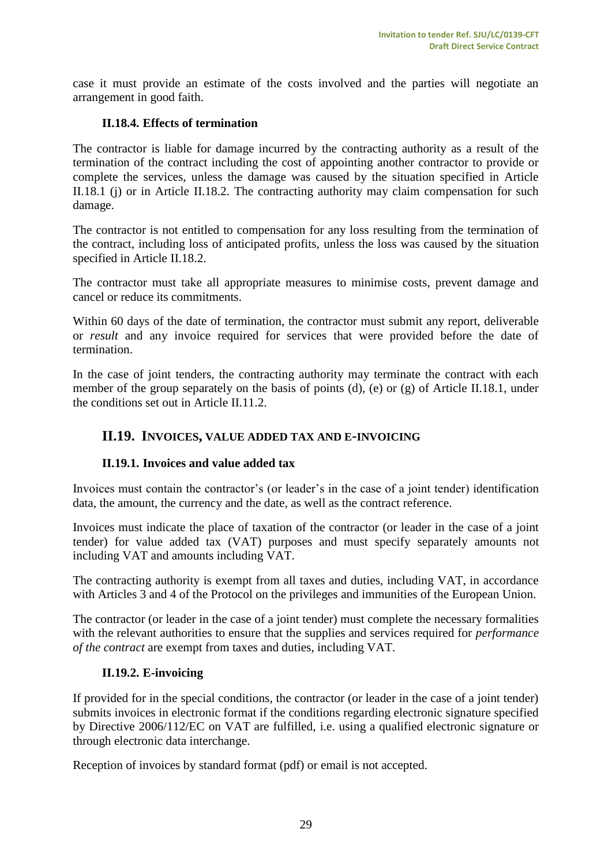case it must provide an estimate of the costs involved and the parties will negotiate an arrangement in good faith.

#### <span id="page-28-0"></span>**II.18.4. Effects of termination**

The contractor is liable for damage incurred by the contracting authority as a result of the termination of the contract including the cost of appointing another contractor to provide or complete the services, unless the damage was caused by the situation specified in Article II.18.1 (j) or in Article II.18.2. The contracting authority may claim compensation for such damage.

The contractor is not entitled to compensation for any loss resulting from the termination of the contract, including loss of anticipated profits, unless the loss was caused by the situation specified in Article II.18.2.

The contractor must take all appropriate measures to minimise costs, prevent damage and cancel or reduce its commitments.

Within 60 days of the date of termination, the contractor must submit any report, deliverable or *result* and any invoice required for services that were provided before the date of termination.

In the case of joint tenders, the contracting authority may terminate the contract with each member of the group separately on the basis of points (d), (e) or (g) of Article II.18.1, under the conditions set out in Article II.11.2.

#### <span id="page-28-1"></span>**II.19. INVOICES, VALUE ADDED TAX AND E-INVOICING**

#### **II.19.1. Invoices and value added tax**

<span id="page-28-2"></span>Invoices must contain the contractor's (or leader's in the case of a joint tender) identification data, the amount, the currency and the date, as well as the contract reference.

Invoices must indicate the place of taxation of the contractor (or leader in the case of a joint tender) for value added tax (VAT) purposes and must specify separately amounts not including VAT and amounts including VAT.

The contracting authority is exempt from all taxes and duties, including VAT, in accordance with Articles 3 and 4 of the Protocol on the privileges and immunities of the European Union.

The contractor (or leader in the case of a joint tender) must complete the necessary formalities with the relevant authorities to ensure that the supplies and services required for *performance of the contract* are exempt from taxes and duties, including VAT.

#### **II.19.2. E-invoicing**

<span id="page-28-3"></span>If provided for in the special conditions, the contractor (or leader in the case of a joint tender) submits invoices in electronic format if the conditions regarding electronic signature specified by Directive 2006/112/EC on VAT are fulfilled, i.e. using a qualified electronic signature or through electronic data interchange.

Reception of invoices by standard format (pdf) or email is not accepted.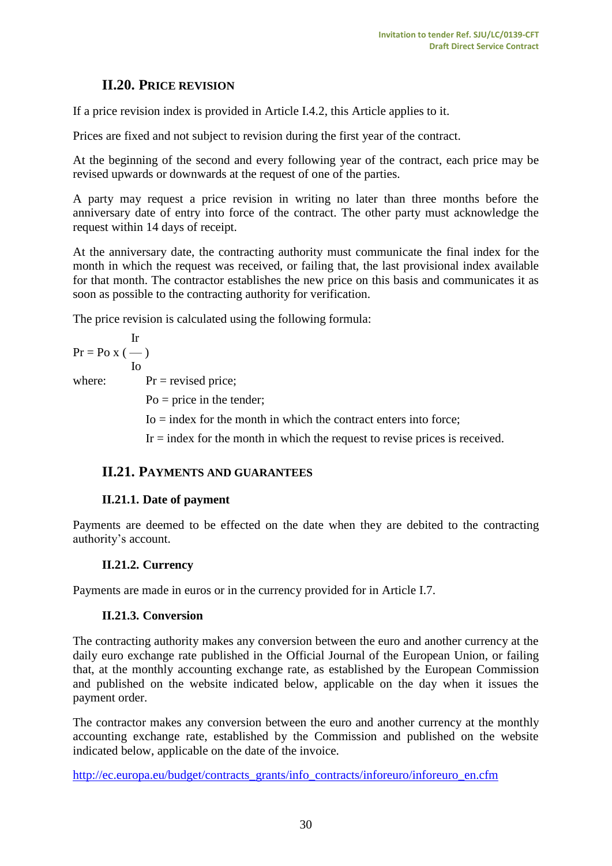# **II.20. PRICE REVISION**

<span id="page-29-0"></span>If a price revision index is provided in Article I.4.2, this Article applies to it.

Prices are fixed and not subject to revision during the first year of the contract.

At the beginning of the second and every following year of the contract, each price may be revised upwards or downwards at the request of one of the parties.

A party may request a price revision in writing no later than three months before the anniversary date of entry into force of the contract. The other party must acknowledge the request within 14 days of receipt.

At the anniversary date, the contracting authority must communicate the final index for the month in which the request was received, or failing that, the last provisional index available for that month. The contractor establishes the new price on this basis and communicates it as soon as possible to the contracting authority for verification.

The price revision is calculated using the following formula:

$$
Pr = Po x (-)
$$
  
Io  
where: 
$$
Pr = \text{revised price};
$$

 $Po = price in the tendency;$ 

 $I_0$  = index for the month in which the contract enters into force;

Ir = index for the month in which the request to revise prices is received.

#### <span id="page-29-1"></span>**II.21. PAYMENTS AND GUARANTEES**

#### **II.21.1. Date of payment**

<span id="page-29-2"></span>Payments are deemed to be effected on the date when they are debited to the contracting authority's account.

#### <span id="page-29-3"></span>**II.21.2. Currency**

<span id="page-29-4"></span>Payments are made in euros or in the currency provided for in Article I.7.

#### **II.21.3. Conversion**

The contracting authority makes any conversion between the euro and another currency at the daily euro exchange rate published in the Official Journal of the European Union, or failing that, at the monthly accounting exchange rate, as established by the European Commission and published on the website indicated below, applicable on the day when it issues the payment order.

The contractor makes any conversion between the euro and another currency at the monthly accounting exchange rate, established by the Commission and published on the website indicated below, applicable on the date of the invoice.

[http://ec.europa.eu/budget/contracts\\_grants/info\\_contracts/inforeuro/inforeuro\\_en.cfm](http://ec.europa.eu/budget/contracts_grants/info_contracts/inforeuro/inforeuro_en.cfm)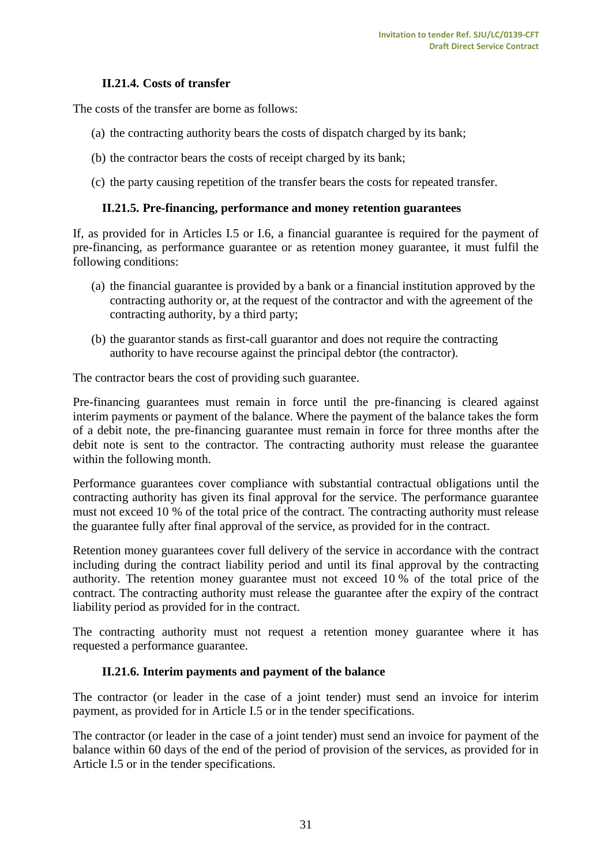#### **II.21.4. Costs of transfer**

<span id="page-30-0"></span>The costs of the transfer are borne as follows:

- (a) the contracting authority bears the costs of dispatch charged by its bank;
- (b) the contractor bears the costs of receipt charged by its bank;
- <span id="page-30-1"></span>(c) the party causing repetition of the transfer bears the costs for repeated transfer.

#### **II.21.5. Pre-financing, performance and money retention guarantees**

If, as provided for in Articles I.5 or I.6*,* a financial guarantee is required for the payment of pre-financing, as performance guarantee or as retention money guarantee, it must fulfil the following conditions:

- (a) the financial guarantee is provided by a bank or a financial institution approved by the contracting authority or, at the request of the contractor and with the agreement of the contracting authority, by a third party;
- (b) the guarantor stands as first-call guarantor and does not require the contracting authority to have recourse against the principal debtor (the contractor).

The contractor bears the cost of providing such guarantee.

Pre-financing guarantees must remain in force until the pre-financing is cleared against interim payments or payment of the balance. Where the payment of the balance takes the form of a debit note, the pre-financing guarantee must remain in force for three months after the debit note is sent to the contractor. The contracting authority must release the guarantee within the following month.

Performance guarantees cover compliance with substantial contractual obligations until the contracting authority has given its final approval for the service. The performance guarantee must not exceed 10 % of the total price of the contract. The contracting authority must release the guarantee fully after final approval of the service, as provided for in the contract.

Retention money guarantees cover full delivery of the service in accordance with the contract including during the contract liability period and until its final approval by the contracting authority. The retention money guarantee must not exceed 10 % of the total price of the contract. The contracting authority must release the guarantee after the expiry of the contract liability period as provided for in the contract.

<span id="page-30-2"></span>The contracting authority must not request a retention money guarantee where it has requested a performance guarantee.

#### **II.21.6. Interim payments and payment of the balance**

The contractor (or leader in the case of a joint tender) must send an invoice for interim payment, as provided for in Article I.5 or in the tender specifications.

The contractor (or leader in the case of a joint tender) must send an invoice for payment of the balance within 60 days of the end of the period of provision of the services, as provided for in Article I.5 or in the tender specifications.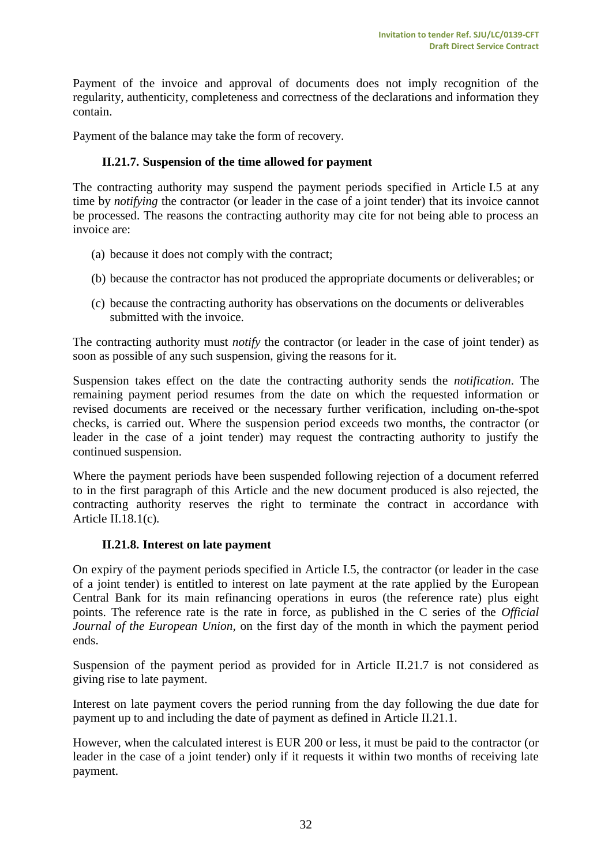Payment of the invoice and approval of documents does not imply recognition of the regularity, authenticity, completeness and correctness of the declarations and information they contain.

<span id="page-31-0"></span>Payment of the balance may take the form of recovery.

#### **II.21.7. Suspension of the time allowed for payment**

The contracting authority may suspend the payment periods specified in Article I.5 at any time by *notifying* the contractor (or leader in the case of a joint tender) that its invoice cannot be processed. The reasons the contracting authority may cite for not being able to process an invoice are:

- (a) because it does not comply with the contract;
- (b) because the contractor has not produced the appropriate documents or deliverables; or
- (c) because the contracting authority has observations on the documents or deliverables submitted with the invoice.

The contracting authority must *notify* the contractor (or leader in the case of joint tender) as soon as possible of any such suspension, giving the reasons for it.

Suspension takes effect on the date the contracting authority sends the *notification*. The remaining payment period resumes from the date on which the requested information or revised documents are received or the necessary further verification, including on-the-spot checks, is carried out. Where the suspension period exceeds two months, the contractor (or leader in the case of a joint tender) may request the contracting authority to justify the continued suspension.

Where the payment periods have been suspended following rejection of a document referred to in the first paragraph of this Article and the new document produced is also rejected, the contracting authority reserves the right to terminate the contract in accordance with Article II.18.1(c)*.*

#### **II.21.8. Interest on late payment**

<span id="page-31-1"></span>On expiry of the payment periods specified in Article I.5, the contractor (or leader in the case of a joint tender) is entitled to interest on late payment at the rate applied by the European Central Bank for its main refinancing operations in euros (the reference rate) plus eight points. The reference rate is the rate in force, as published in the C series of the *Official Journal of the European Union,* on the first day of the month in which the payment period ends.

Suspension of the payment period as provided for in Article II.21.7 is not considered as giving rise to late payment.

Interest on late payment covers the period running from the day following the due date for payment up to and including the date of payment as defined in Article II.21.1.

However, when the calculated interest is EUR 200 or less, it must be paid to the contractor (or leader in the case of a joint tender) only if it requests it within two months of receiving late payment.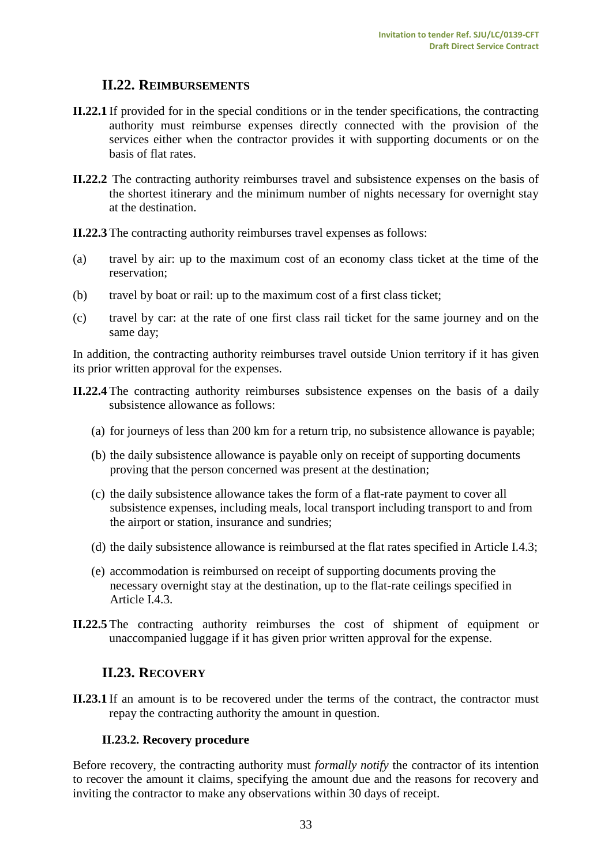# **II.22. REIMBURSEMENTS**

- <span id="page-32-0"></span>**II.22.1** If provided for in the special conditions or in the tender specifications, the contracting authority must reimburse expenses directly connected with the provision of the services either when the contractor provides it with supporting documents or on the basis of flat rates.
- **II.22.2** The contracting authority reimburses travel and subsistence expenses on the basis of the shortest itinerary and the minimum number of nights necessary for overnight stay at the destination.

**II.22.3** The contracting authority reimburses travel expenses as follows:

- (a) travel by air: up to the maximum cost of an economy class ticket at the time of the reservation;
- (b) travel by boat or rail: up to the maximum cost of a first class ticket;
- (c) travel by car: at the rate of one first class rail ticket for the same journey and on the same day;

In addition, the contracting authority reimburses travel outside Union territory if it has given its prior written approval for the expenses.

- **II.22.4** The contracting authority reimburses subsistence expenses on the basis of a daily subsistence allowance as follows:
	- (a) for journeys of less than 200 km for a return trip, no subsistence allowance is payable;
	- (b) the daily subsistence allowance is payable only on receipt of supporting documents proving that the person concerned was present at the destination;
	- (c) the daily subsistence allowance takes the form of a flat-rate payment to cover all subsistence expenses, including meals, local transport including transport to and from the airport or station, insurance and sundries;
	- (d) the daily subsistence allowance is reimbursed at the flat rates specified in Article I.4.3;
	- (e) accommodation is reimbursed on receipt of supporting documents proving the necessary overnight stay at the destination, up to the flat-rate ceilings specified in Article I.4.3.
- <span id="page-32-1"></span>**II.22.5** The contracting authority reimburses the cost of shipment of equipment or unaccompanied luggage if it has given prior written approval for the expense.

# **II.23. RECOVERY**

**II.23.1** If an amount is to be recovered under the terms of the contract, the contractor must repay the contracting authority the amount in question.

#### **II.23.2. Recovery procedure**

<span id="page-32-2"></span>Before recovery, the contracting authority must *formally notify* the contractor of its intention to recover the amount it claims, specifying the amount due and the reasons for recovery and inviting the contractor to make any observations within 30 days of receipt.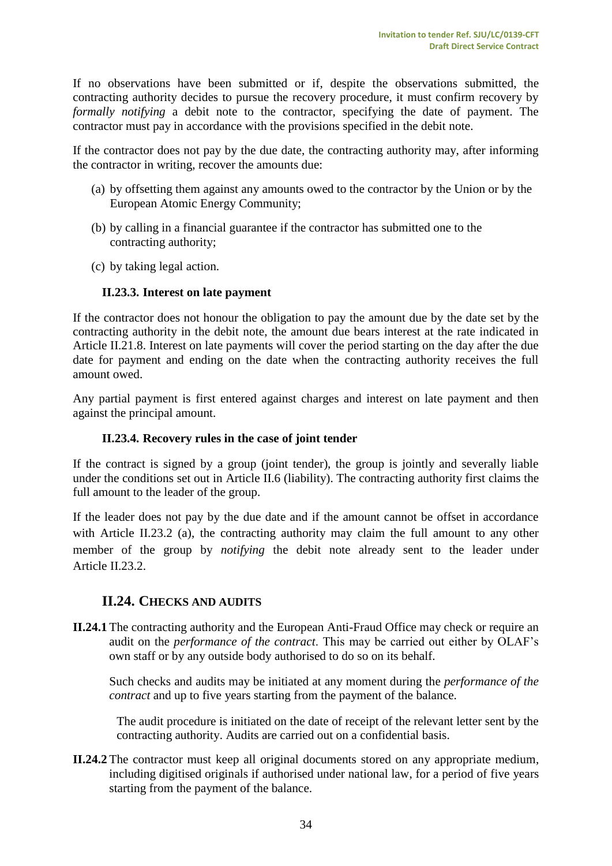If no observations have been submitted or if, despite the observations submitted, the contracting authority decides to pursue the recovery procedure, it must confirm recovery by *formally notifying* a debit note to the contractor, specifying the date of payment. The contractor must pay in accordance with the provisions specified in the debit note.

If the contractor does not pay by the due date, the contracting authority may, after informing the contractor in writing, recover the amounts due:

- (a) by offsetting them against any amounts owed to the contractor by the Union or by the European Atomic Energy Community;
- (b) by calling in a financial guarantee if the contractor has submitted one to the contracting authority;
- <span id="page-33-0"></span>(c) by taking legal action.

#### **II.23.3. Interest on late payment**

If the contractor does not honour the obligation to pay the amount due by the date set by the contracting authority in the debit note, the amount due bears interest at the rate indicated in Article II.21.8. Interest on late payments will cover the period starting on the day after the due date for payment and ending on the date when the contracting authority receives the full amount owed.

Any partial payment is first entered against charges and interest on late payment and then against the principal amount.

#### **II.23.4. Recovery rules in the case of joint tender**

<span id="page-33-1"></span>If the contract is signed by a group (joint tender), the group is jointly and severally liable under the conditions set out in Article II.6 (liability). The contracting authority first claims the full amount to the leader of the group.

If the leader does not pay by the due date and if the amount cannot be offset in accordance with Article II.23.2 (a), the contracting authority may claim the full amount to any other member of the group by *notifying* the debit note already sent to the leader under Article II.23.2.

#### <span id="page-33-2"></span>**II.24. CHECKS AND AUDITS**

**II.24.1** The contracting authority and the European Anti-Fraud Office may check or require an audit on the *performance of the contract*. This may be carried out either by OLAF's own staff or by any outside body authorised to do so on its behalf.

Such checks and audits may be initiated at any moment during the *performance of the contract* and up to five years starting from the payment of the balance.

The audit procedure is initiated on the date of receipt of the relevant letter sent by the contracting authority. Audits are carried out on a confidential basis.

**II.24.2** The contractor must keep all original documents stored on any appropriate medium, including digitised originals if authorised under national law, for a period of five years starting from the payment of the balance.